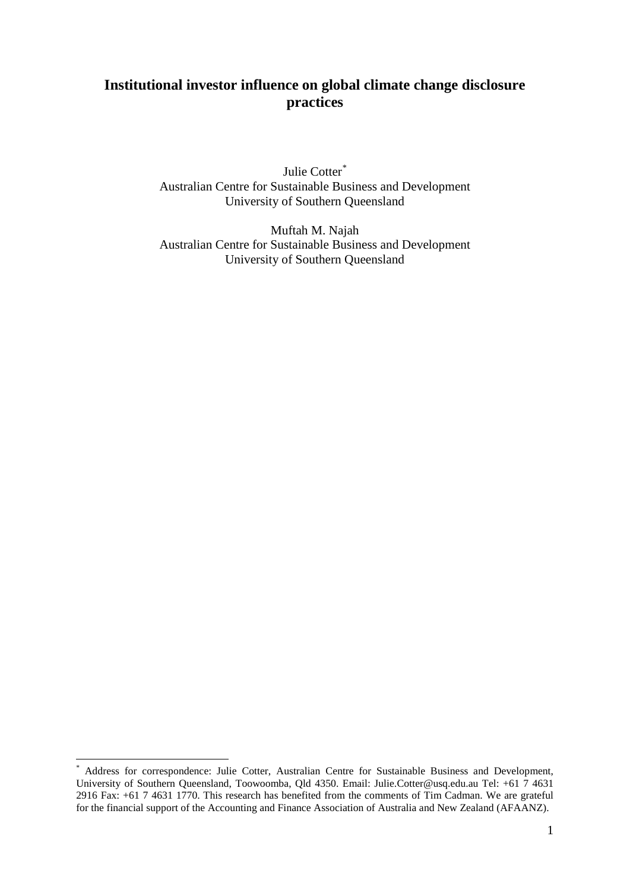# **Institutional investor influence on global climate change disclosure practices**

Julie Cotter[\\*](#page-0-0) Australian Centre for Sustainable Business and Development University of Southern Queensland

Muftah M. Najah Australian Centre for Sustainable Business and Development University of Southern Queensland

<span id="page-0-0"></span>Address for correspondence: Julie Cotter, Australian Centre for Sustainable Business and Development, University of Southern Queensland, Toowoomba, Qld 4350. Email: Julie.Cotter@usq.edu.au Tel: +61 7 4631 2916 Fax: +61 7 4631 1770. This research has benefited from the comments of Tim Cadman. We are grateful for the financial support of the Accounting and Finance Association of Australia and New Zealand (AFAANZ).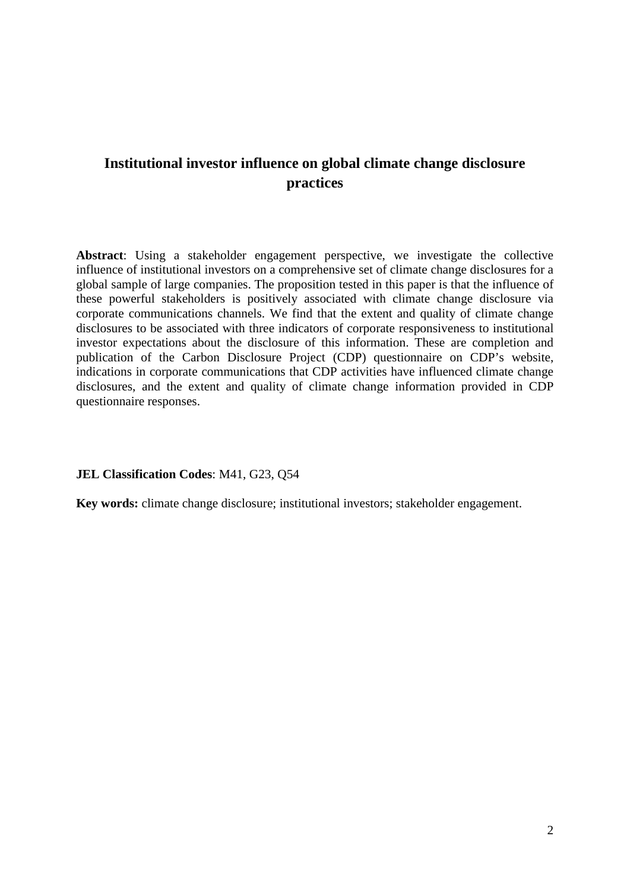# **Institutional investor influence on global climate change disclosure practices**

**Abstract**: Using a stakeholder engagement perspective, we investigate the collective influence of institutional investors on a comprehensive set of climate change disclosures for a global sample of large companies. The proposition tested in this paper is that the influence of these powerful stakeholders is positively associated with climate change disclosure via corporate communications channels. We find that the extent and quality of climate change disclosures to be associated with three indicators of corporate responsiveness to institutional investor expectations about the disclosure of this information. These are completion and publication of the Carbon Disclosure Project (CDP) questionnaire on CDP's website, indications in corporate communications that CDP activities have influenced climate change disclosures, and the extent and quality of climate change information provided in CDP questionnaire responses.

### **JEL Classification Codes**: M41, G23, Q54

**Key words:** climate change disclosure; institutional investors; stakeholder engagement.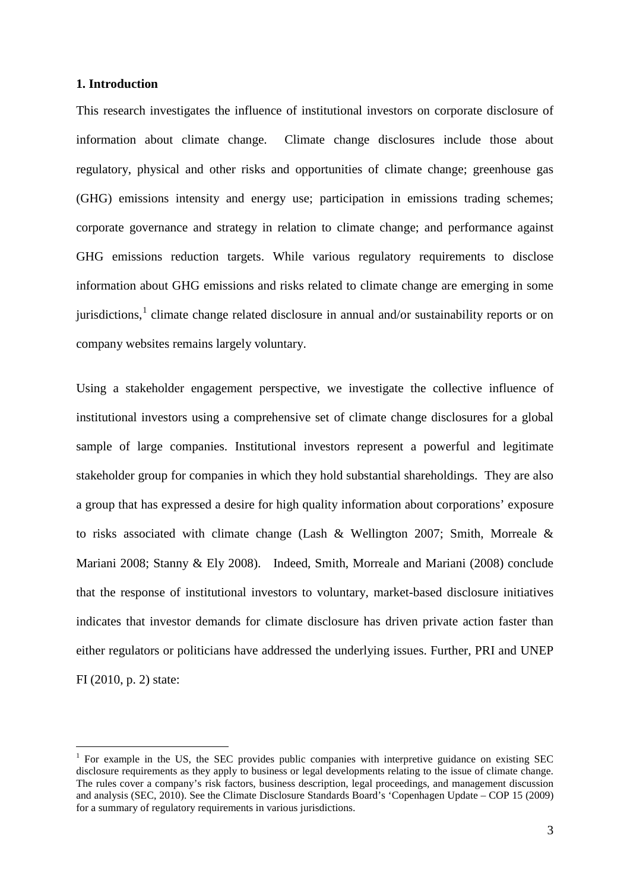## **1. Introduction**

This research investigates the influence of institutional investors on corporate disclosure of information about climate change. Climate change disclosures include those about regulatory, physical and other risks and opportunities of climate change; greenhouse gas (GHG) emissions intensity and energy use; participation in emissions trading schemes; corporate governance and strategy in relation to climate change; and performance against GHG emissions reduction targets. While various regulatory requirements to disclose information about GHG emissions and risks related to climate change are emerging in some jurisdictions,<sup>[1](#page-2-0)</sup> climate change related disclosure in annual and/or sustainability reports or on company websites remains largely voluntary.

Using a stakeholder engagement perspective, we investigate the collective influence of institutional investors using a comprehensive set of climate change disclosures for a global sample of large companies. Institutional investors represent a powerful and legitimate stakeholder group for companies in which they hold substantial shareholdings. They are also a group that has expressed a desire for high quality information about corporations' exposure to risks associated with climate change (Lash & Wellington 2007; Smith, Morreale & Mariani 2008; Stanny & Ely 2008). Indeed, Smith, Morreale and Mariani (2008) conclude that the response of institutional investors to voluntary, market-based disclosure initiatives indicates that investor demands for climate disclosure has driven private action faster than either regulators or politicians have addressed the underlying issues. Further, PRI and UNEP FI (2010, p. 2) state:

<span id="page-2-0"></span> $1$  For example in the US, the SEC provides public companies with interpretive guidance on existing SEC disclosure requirements as they apply to business or legal developments relating to the issue of climate change. The rules cover a company's risk factors, business description, legal proceedings, and management discussion and analysis (SEC, 2010). See the Climate Disclosure Standards Board's 'Copenhagen Update – COP 15 (2009) for a summary of regulatory requirements in various jurisdictions.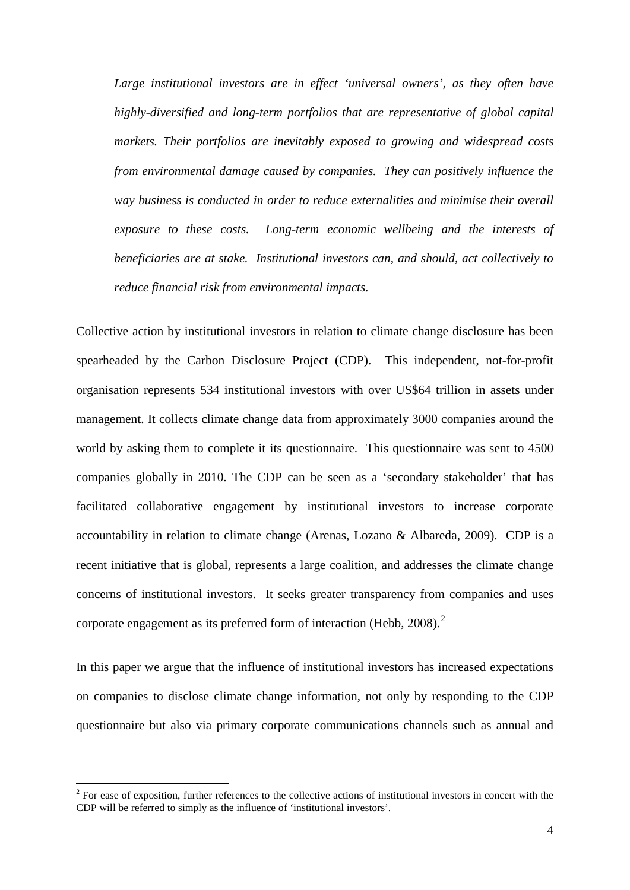*Large institutional investors are in effect 'universal owners', as they often have highly-diversified and long-term portfolios that are representative of global capital markets. Their portfolios are inevitably exposed to growing and widespread costs from environmental damage caused by companies. They can positively influence the way business is conducted in order to reduce externalities and minimise their overall exposure to these costs. Long-term economic wellbeing and the interests of beneficiaries are at stake. Institutional investors can, and should, act collectively to reduce financial risk from environmental impacts.*

Collective action by institutional investors in relation to climate change disclosure has been spearheaded by the Carbon Disclosure Project (CDP). This independent, not-for-profit organisation represents 534 institutional investors with over US\$64 trillion in assets under management. It collects climate change data from approximately 3000 companies around the world by asking them to complete it its questionnaire. This questionnaire was sent to 4500 companies globally in 2010. The CDP can be seen as a 'secondary stakeholder' that has facilitated collaborative engagement by institutional investors to increase corporate accountability in relation to climate change [\(Arenas,](http://www.springerlink.com/content/?Author=Daniel+Arenas) [Lozano](http://www.springerlink.com/content/?Author=Josep+M.+Lozano) & [Albareda,](http://www.springerlink.com/content/?Author=Laura+Albareda) 2009). CDP is a recent initiative that is global, represents a large coalition, and addresses the climate change concerns of institutional investors. It seeks greater transparency from companies and uses corporate engagement as its preferred form of interaction (Hebb, [2](#page-3-0)008).<sup>2</sup>

In this paper we argue that the influence of institutional investors has increased expectations on companies to disclose climate change information, not only by responding to the CDP questionnaire but also via primary corporate communications channels such as annual and

<span id="page-3-0"></span><sup>&</sup>lt;sup>2</sup> For ease of exposition, further references to the collective actions of institutional investors in concert with the CDP will be referred to simply as the influence of 'institutional investors'.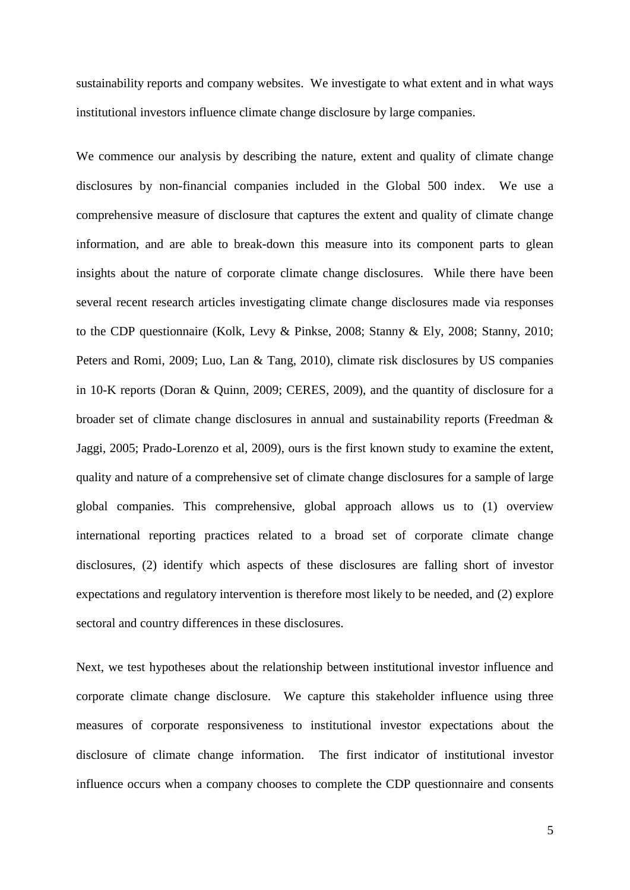sustainability reports and company websites. We investigate to what extent and in what ways institutional investors influence climate change disclosure by large companies.

We commence our analysis by describing the nature, extent and quality of climate change disclosures by non-financial companies included in the Global 500 index. We use a comprehensive measure of disclosure that captures the extent and quality of climate change information, and are able to break-down this measure into its component parts to glean insights about the nature of corporate climate change disclosures. While there have been several recent research articles investigating climate change disclosures made via responses to the CDP questionnaire (Kolk, Levy & Pinkse, 2008; Stanny & Ely, 2008; Stanny, 2010; Peters and Romi, 2009; Luo, Lan & Tang, 2010), climate risk disclosures by US companies in 10-K reports (Doran & Quinn, 2009; CERES, 2009), and the quantity of disclosure for a broader set of climate change disclosures in annual and sustainability reports (Freedman & Jaggi, 2005; Prado-Lorenzo et al, 2009), ours is the first known study to examine the extent, quality and nature of a comprehensive set of climate change disclosures for a sample of large global companies. This comprehensive, global approach allows us to (1) overview international reporting practices related to a broad set of corporate climate change disclosures, (2) identify which aspects of these disclosures are falling short of investor expectations and regulatory intervention is therefore most likely to be needed, and (2) explore sectoral and country differences in these disclosures.

Next, we test hypotheses about the relationship between institutional investor influence and corporate climate change disclosure. We capture this stakeholder influence using three measures of corporate responsiveness to institutional investor expectations about the disclosure of climate change information. The first indicator of institutional investor influence occurs when a company chooses to complete the CDP questionnaire and consents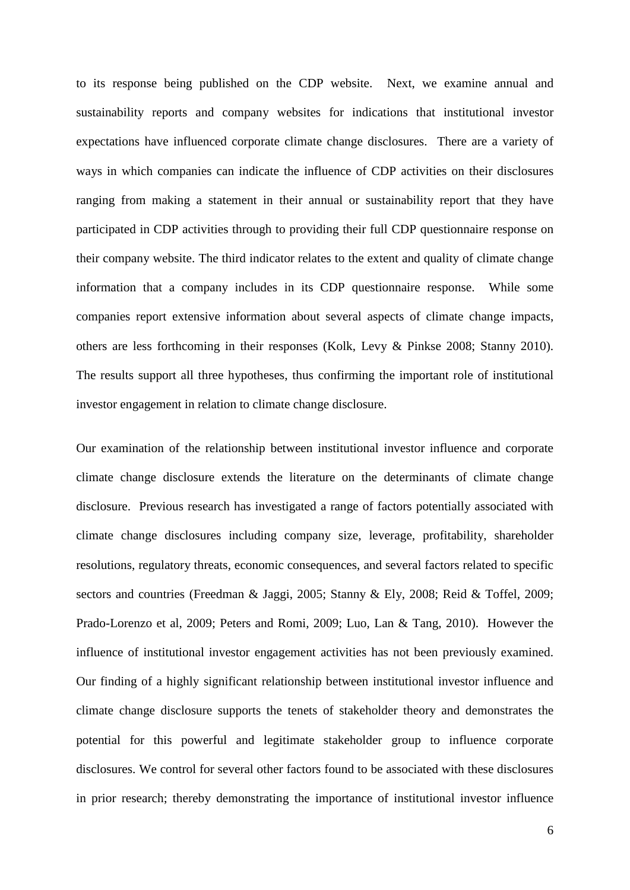to its response being published on the CDP website. Next, we examine annual and sustainability reports and company websites for indications that institutional investor expectations have influenced corporate climate change disclosures. There are a variety of ways in which companies can indicate the influence of CDP activities on their disclosures ranging from making a statement in their annual or sustainability report that they have participated in CDP activities through to providing their full CDP questionnaire response on their company website. The third indicator relates to the extent and quality of climate change information that a company includes in its CDP questionnaire response. While some companies report extensive information about several aspects of climate change impacts, others are less forthcoming in their responses (Kolk, Levy & Pinkse 2008; Stanny 2010). The results support all three hypotheses, thus confirming the important role of institutional investor engagement in relation to climate change disclosure.

Our examination of the relationship between institutional investor influence and corporate climate change disclosure extends the literature on the determinants of climate change disclosure. Previous research has investigated a range of factors potentially associated with climate change disclosures including company size, leverage, profitability, shareholder resolutions, regulatory threats, economic consequences, and several factors related to specific sectors and countries (Freedman & Jaggi, 2005; Stanny & Ely, 2008; Reid & Toffel, 2009; Prado-Lorenzo et al, 2009; Peters and Romi, 2009; Luo, Lan & Tang, 2010). However the influence of institutional investor engagement activities has not been previously examined. Our finding of a highly significant relationship between institutional investor influence and climate change disclosure supports the tenets of stakeholder theory and demonstrates the potential for this powerful and legitimate stakeholder group to influence corporate disclosures. We control for several other factors found to be associated with these disclosures in prior research; thereby demonstrating the importance of institutional investor influence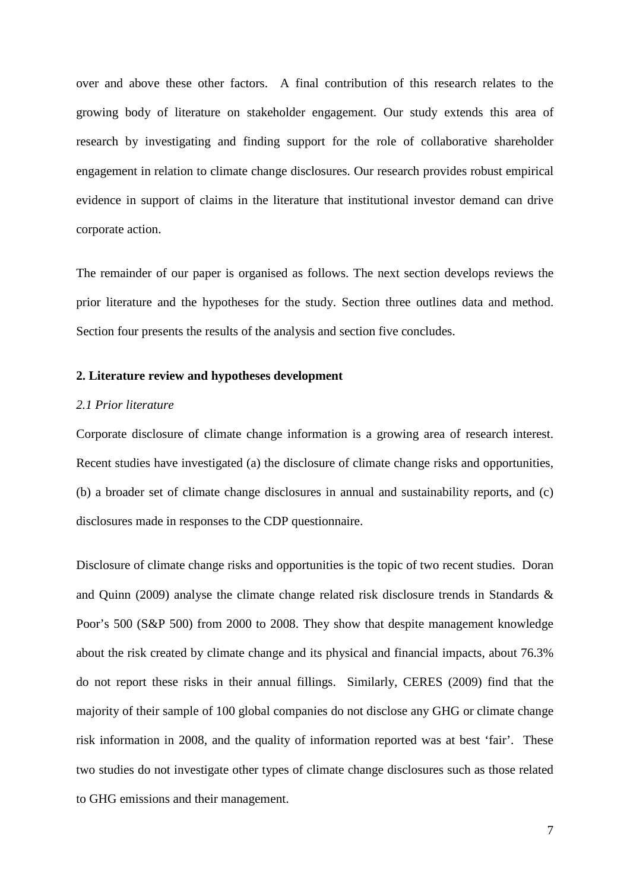over and above these other factors. A final contribution of this research relates to the growing body of literature on stakeholder engagement. Our study extends this area of research by investigating and finding support for the role of collaborative shareholder engagement in relation to climate change disclosures. Our research provides robust empirical evidence in support of claims in the literature that institutional investor demand can drive corporate action.

The remainder of our paper is organised as follows. The next section develops reviews the prior literature and the hypotheses for the study. Section three outlines data and method. Section four presents the results of the analysis and section five concludes.

# **2. Literature review and hypotheses development**

#### *2.1 Prior literature*

Corporate disclosure of climate change information is a growing area of research interest. Recent studies have investigated (a) the disclosure of climate change risks and opportunities, (b) a broader set of climate change disclosures in annual and sustainability reports, and (c) disclosures made in responses to the CDP questionnaire.

Disclosure of climate change risks and opportunities is the topic of two recent studies. Doran and Quinn (2009) analyse the climate change related risk disclosure trends in Standards & Poor's 500 (S&P 500) from 2000 to 2008. They show that despite management knowledge about the risk created by climate change and its physical and financial impacts, about 76.3% do not report these risks in their annual fillings. Similarly, CERES (2009) find that the majority of their sample of 100 global companies do not disclose any GHG or climate change risk information in 2008, and the quality of information reported was at best 'fair'. These two studies do not investigate other types of climate change disclosures such as those related to GHG emissions and their management.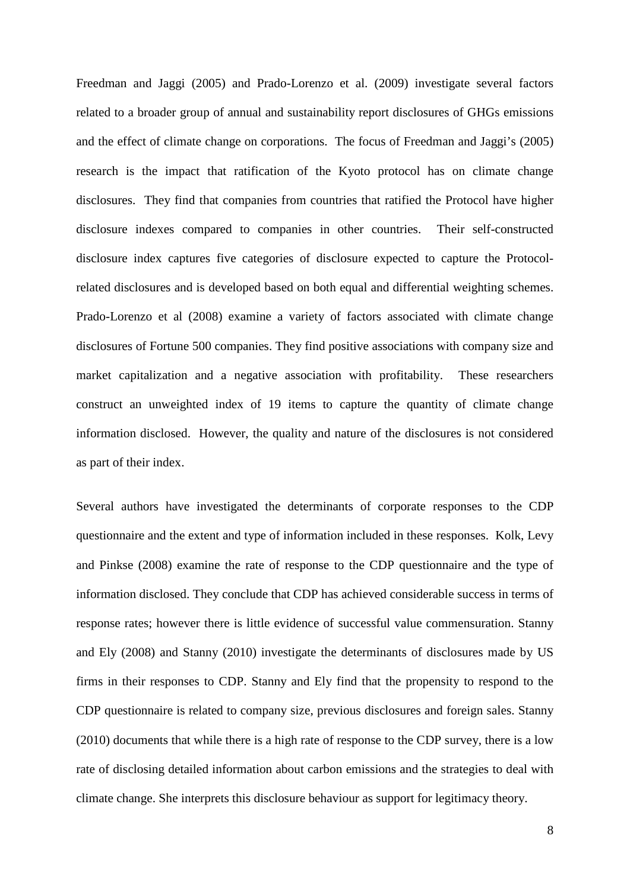Freedman and Jaggi (2005) and Prado-Lorenzo et al. (2009) investigate several factors related to a broader group of annual and sustainability report disclosures of GHGs emissions and the effect of climate change on corporations. The focus of Freedman and Jaggi's (2005) research is the impact that ratification of the Kyoto protocol has on climate change disclosures. They find that companies from countries that ratified the Protocol have higher disclosure indexes compared to companies in other countries. Their self-constructed disclosure index captures five categories of disclosure expected to capture the Protocolrelated disclosures and is developed based on both equal and differential weighting schemes. Prado-Lorenzo et al (2008) examine a variety of factors associated with climate change disclosures of Fortune 500 companies. They find positive associations with company size and market capitalization and a negative association with profitability. These researchers construct an unweighted index of 19 items to capture the quantity of climate change information disclosed. However, the quality and nature of the disclosures is not considered as part of their index.

Several authors have investigated the determinants of corporate responses to the CDP questionnaire and the extent and type of information included in these responses. Kolk, Levy and Pinkse (2008) examine the rate of response to the CDP questionnaire and the type of information disclosed. They conclude that CDP has achieved considerable success in terms of response rates; however there is little evidence of successful value commensuration. Stanny and Ely (2008) and Stanny (2010) investigate the determinants of disclosures made by US firms in their responses to CDP. Stanny and Ely find that the propensity to respond to the CDP questionnaire is related to company size, previous disclosures and foreign sales. Stanny (2010) documents that while there is a high rate of response to the CDP survey, there is a low rate of disclosing detailed information about carbon emissions and the strategies to deal with climate change. She interprets this disclosure behaviour as support for legitimacy theory.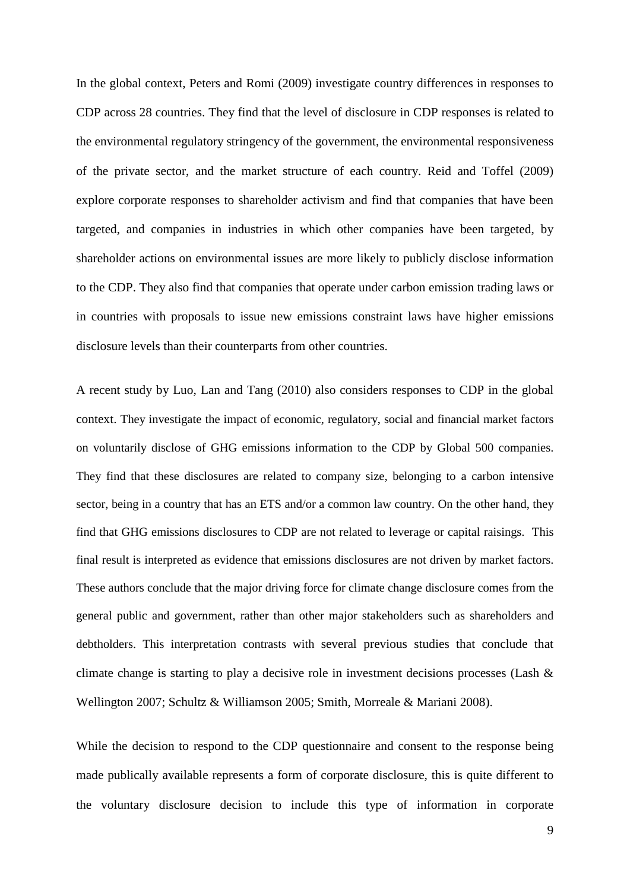In the global context, Peters and Romi (2009) investigate country differences in responses to CDP across 28 countries. They find that the level of disclosure in CDP responses is related to the environmental regulatory stringency of the government, the environmental responsiveness of the private sector, and the market structure of each country. Reid and Toffel (2009) explore corporate responses to shareholder activism and find that companies that have been targeted, and companies in industries in which other companies have been targeted, by shareholder actions on environmental issues are more likely to publicly disclose information to the CDP. They also find that companies that operate under carbon emission trading laws or in countries with proposals to issue new emissions constraint laws have higher emissions disclosure levels than their counterparts from other countries.

A recent study by Luo, Lan and Tang (2010) also considers responses to CDP in the global context. They investigate the impact of economic, regulatory, social and financial market factors on voluntarily disclose of GHG emissions information to the CDP by Global 500 companies. They find that these disclosures are related to company size, belonging to a carbon intensive sector, being in a country that has an ETS and/or a common law country. On the other hand, they find that GHG emissions disclosures to CDP are not related to leverage or capital raisings. This final result is interpreted as evidence that emissions disclosures are not driven by market factors. These authors conclude that the major driving force for climate change disclosure comes from the general public and government, rather than other major stakeholders such as shareholders and debtholders. This interpretation contrasts with several previous studies that conclude that climate change is starting to play a decisive role in investment decisions processes (Lash & Wellington 2007; Schultz & Williamson 2005; Smith, Morreale & Mariani 2008).

While the decision to respond to the CDP questionnaire and consent to the response being made publically available represents a form of corporate disclosure, this is quite different to the voluntary disclosure decision to include this type of information in corporate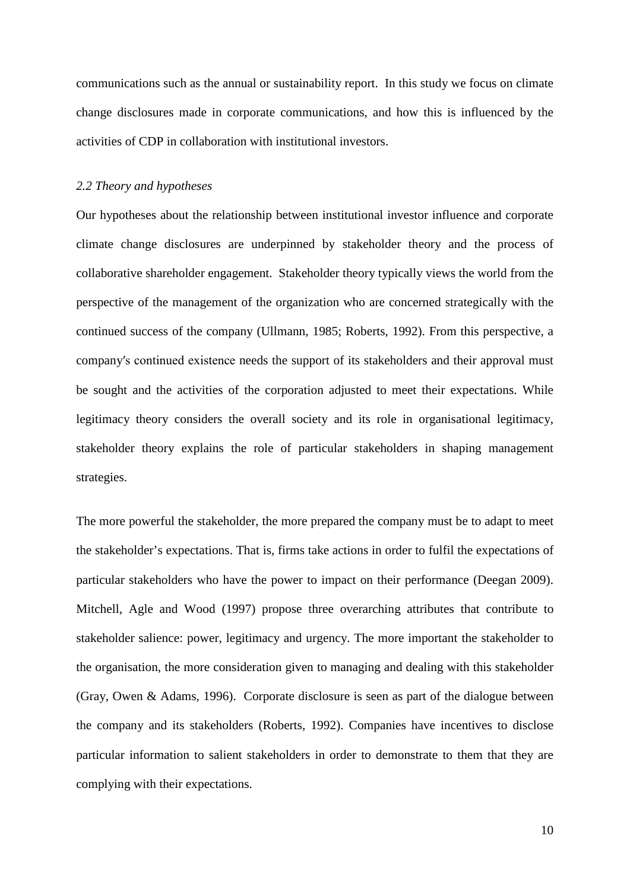communications such as the annual or sustainability report. In this study we focus on climate change disclosures made in corporate communications, and how this is influenced by the activities of CDP in collaboration with institutional investors.

#### *2.2 Theory and hypotheses*

Our hypotheses about the relationship between institutional investor influence and corporate climate change disclosures are underpinned by stakeholder theory and the process of collaborative shareholder engagement. Stakeholder theory typically views the world from the perspective of the management of the organization who are concerned strategically with the continued success of the company [\(Ullmann,](http://www.emeraldinsight.com.ezproxy.usq.edu.au/journals.htm?issn=0951-3574&volume=8&issue=2&articleid=869644&show=html#idb137) 1985; [Roberts, 1992\).](http://www.emeraldinsight.com.ezproxy.usq.edu.au/journals.htm?issn=0951-3574&volume=8&issue=2&articleid=869644&show=html#idb121) From this perspective, a company′s continued existence needs the support of its stakeholders and their approval must be sought and the activities of the corporation adjusted to meet their expectations. While legitimacy theory considers the overall society and its role in organisational legitimacy, stakeholder theory explains the role of particular stakeholders in shaping management strategies.

The more powerful the stakeholder, the more prepared the company must be to adapt to meet the stakeholder's expectations. That is, firms take actions in order to fulfil the expectations of particular stakeholders who have the power to impact on their performance (Deegan 2009). Mitchell, Agle and Wood (1997) propose three overarching attributes that contribute to stakeholder salience: power, legitimacy and urgency. The more important the stakeholder to the organisation, the more consideration given to managing and dealing with this stakeholder (Gray, Owen & Adams, 1996). Corporate disclosure is seen as part of the dialogue between the company and its stakeholders [\(Roberts, 1992\).](http://www.emeraldinsight.com.ezproxy.usq.edu.au/journals.htm?issn=0951-3574&volume=8&issue=2&articleid=869644&show=html#idb121) Companies have incentives to disclose particular information to salient stakeholders in order to demonstrate to them that they are complying with their expectations.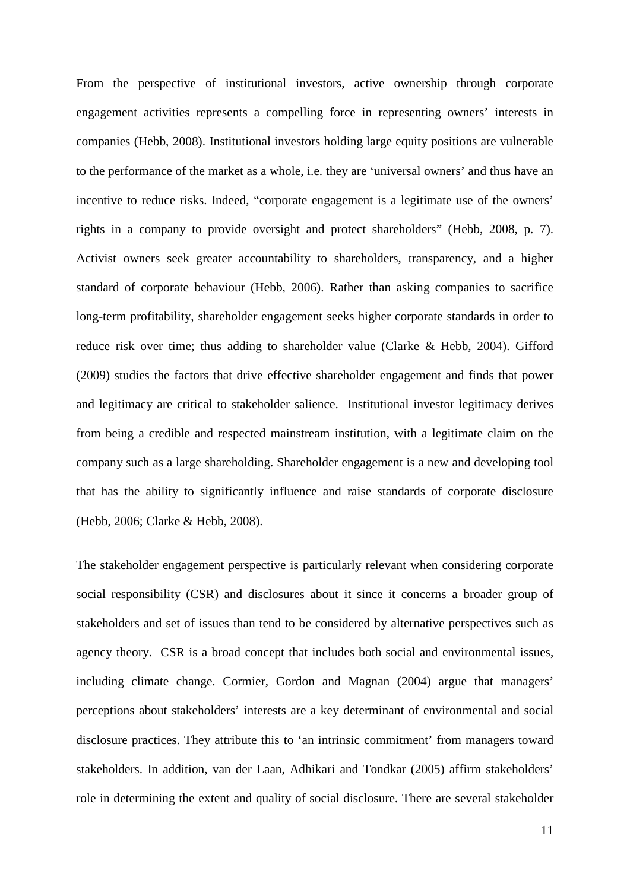From the perspective of institutional investors, active ownership through corporate engagement activities represents a compelling force in representing owners' interests in companies (Hebb, 2008). Institutional investors holding large equity positions are vulnerable to the performance of the market as a whole, i.e. they are 'universal owners' and thus have an incentive to reduce risks. Indeed, "corporate engagement is a legitimate use of the owners' rights in a company to provide oversight and protect shareholders" (Hebb, 2008, p. 7). Activist owners seek greater accountability to shareholders, transparency, and a higher standard of corporate behaviour (Hebb, 2006). Rather than asking companies to sacrifice long-term profitability, shareholder engagement seeks higher corporate standards in order to reduce risk over time; thus adding to shareholder value (Clarke & Hebb, 2004). Gifford (2009) studies the factors that drive effective shareholder engagement and finds that power and legitimacy are critical to stakeholder salience. Institutional investor legitimacy derives from being a credible and respected mainstream institution, with a legitimate claim on the company such as a large shareholding. Shareholder engagement is a new and developing tool that has the ability to significantly influence and raise standards of corporate disclosure (Hebb, 2006; Clarke & Hebb, 2008).

The stakeholder engagement perspective is particularly relevant when considering corporate social responsibility (CSR) and disclosures about it since it concerns a broader group of stakeholders and set of issues than tend to be considered by alternative perspectives such as agency theory. CSR is a broad concept that includes both social and environmental issues, including climate change. Cormier, Gordon and Magnan (2004) argue that managers' perceptions about stakeholders' interests are a key determinant of environmental and social disclosure practices. They attribute this to 'an intrinsic commitment' from managers toward stakeholders. In addition, van der Laan, Adhikari and Tondkar (2005) affirm stakeholders' role in determining the extent and quality of social disclosure. There are several stakeholder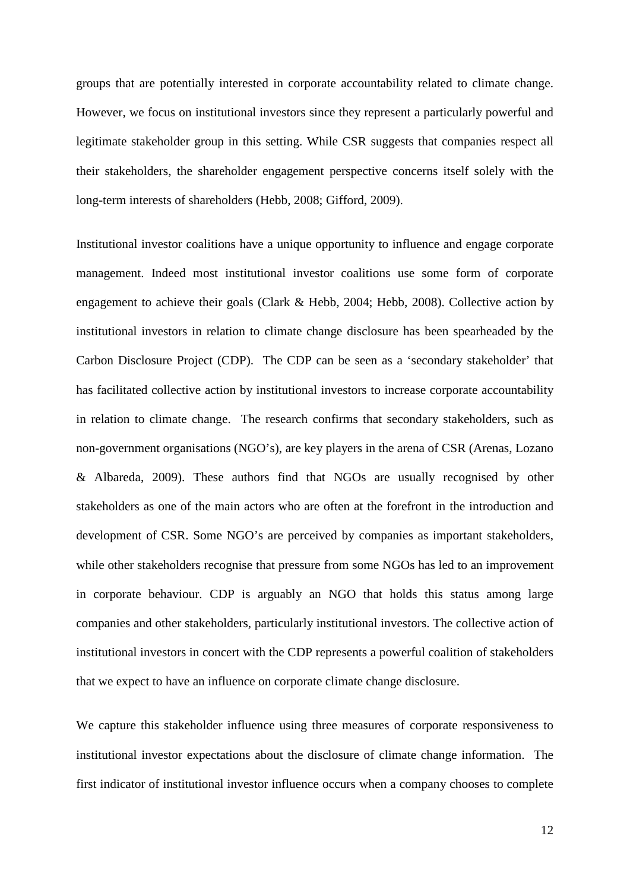groups that are potentially interested in corporate accountability related to climate change. However, we focus on institutional investors since they represent a particularly powerful and legitimate stakeholder group in this setting. While CSR suggests that companies respect all their stakeholders, the shareholder engagement perspective concerns itself solely with the long-term interests of shareholders (Hebb, 2008; Gifford, 2009).

Institutional investor coalitions have a unique opportunity to influence and engage corporate management. Indeed most institutional investor coalitions use some form of corporate engagement to achieve their goals (Clark & Hebb, 2004; Hebb, 2008). Collective action by institutional investors in relation to climate change disclosure has been spearheaded by the Carbon Disclosure Project (CDP). The CDP can be seen as a 'secondary stakeholder' that has facilitated collective action by institutional investors to increase corporate accountability in relation to climate change. The research confirms that secondary stakeholders, such as non-government organisations (NGO's), are key players in the arena of CSR (Arenas, Lozano & Albareda, 2009). These authors find that NGOs are usually recognised by other stakeholders as one of the main actors who are often at the forefront in the introduction and development of CSR. Some NGO's are perceived by companies as important stakeholders, while other stakeholders recognise that pressure from some NGOs has led to an improvement in corporate behaviour. CDP is arguably an NGO that holds this status among large companies and other stakeholders, particularly institutional investors. The collective action of institutional investors in concert with the CDP represents a powerful coalition of stakeholders that we expect to have an influence on corporate climate change disclosure.

We capture this stakeholder influence using three measures of corporate responsiveness to institutional investor expectations about the disclosure of climate change information. The first indicator of institutional investor influence occurs when a company chooses to complete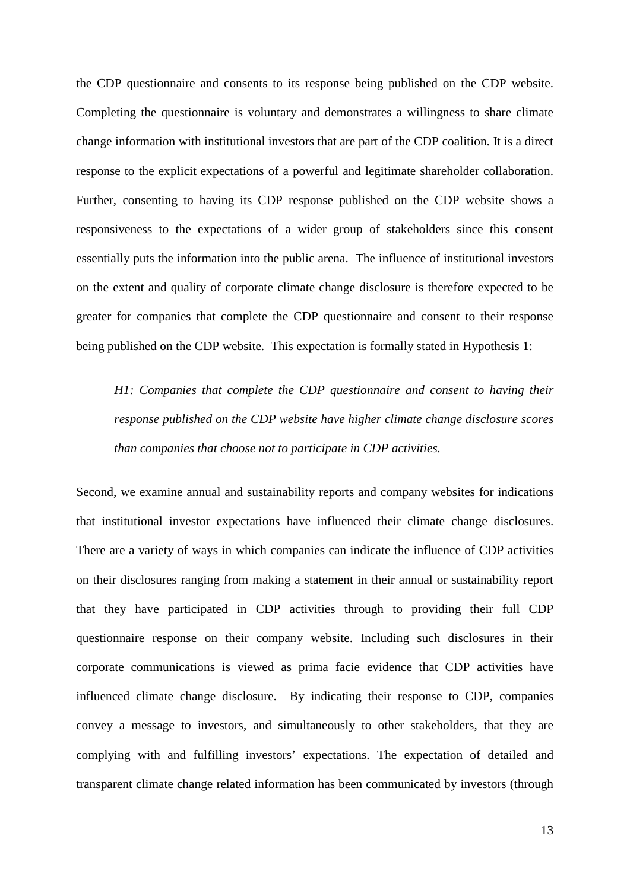the CDP questionnaire and consents to its response being published on the CDP website. Completing the questionnaire is voluntary and demonstrates a willingness to share climate change information with institutional investors that are part of the CDP coalition. It is a direct response to the explicit expectations of a powerful and legitimate shareholder collaboration. Further, consenting to having its CDP response published on the CDP website shows a responsiveness to the expectations of a wider group of stakeholders since this consent essentially puts the information into the public arena. The influence of institutional investors on the extent and quality of corporate climate change disclosure is therefore expected to be greater for companies that complete the CDP questionnaire and consent to their response being published on the CDP website. This expectation is formally stated in Hypothesis 1:

*H1: Companies that complete the CDP questionnaire and consent to having their response published on the CDP website have higher climate change disclosure scores than companies that choose not to participate in CDP activities.*

Second, we examine annual and sustainability reports and company websites for indications that institutional investor expectations have influenced their climate change disclosures. There are a variety of ways in which companies can indicate the influence of CDP activities on their disclosures ranging from making a statement in their annual or sustainability report that they have participated in CDP activities through to providing their full CDP questionnaire response on their company website. Including such disclosures in their corporate communications is viewed as prima facie evidence that CDP activities have influenced climate change disclosure. By indicating their response to CDP, companies convey a message to investors, and simultaneously to other stakeholders, that they are complying with and fulfilling investors' expectations. The expectation of detailed and transparent climate change related information has been communicated by investors (through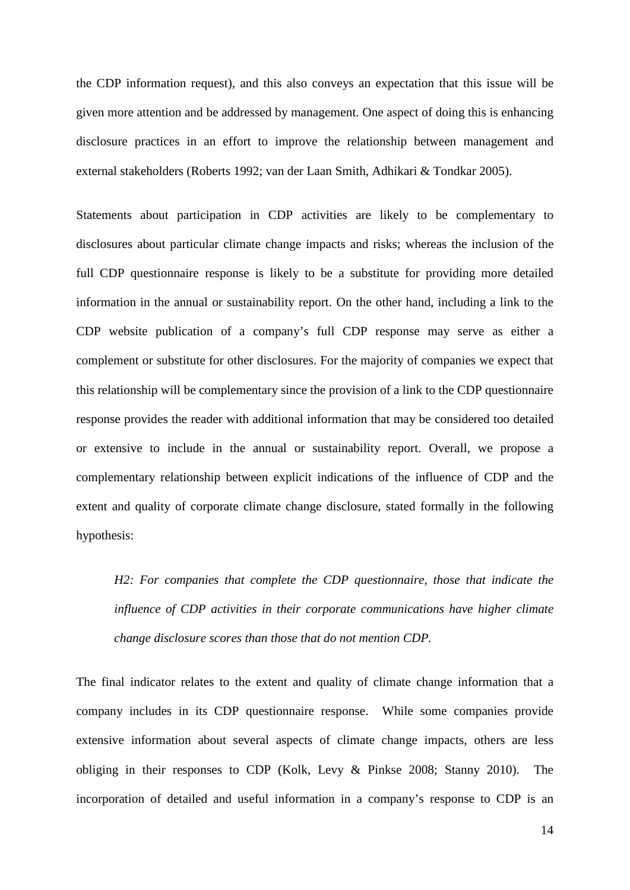the CDP information request), and this also conveys an expectation that this issue will be given more attention and be addressed by management. One aspect of doing this is enhancing disclosure practices in an effort to improve the relationship between management and external stakeholders (Roberts 1992; van der Laan Smith, Adhikari & Tondkar 2005).

Statements about participation in CDP activities are likely to be complementary to disclosures about particular climate change impacts and risks; whereas the inclusion of the full CDP questionnaire response is likely to be a substitute for providing more detailed information in the annual or sustainability report. On the other hand, including a link to the CDP website publication of a company's full CDP response may serve as either a complement or substitute for other disclosures. For the majority of companies we expect that this relationship will be complementary since the provision of a link to the CDP questionnaire response provides the reader with additional information that may be considered too detailed or extensive to include in the annual or sustainability report. Overall, we propose a complementary relationship between explicit indications of the influence of CDP and the extent and quality of corporate climate change disclosure, stated formally in the following hypothesis:

*H2: For companies that complete the CDP questionnaire, those that indicate the influence of CDP activities in their corporate communications have higher climate change disclosure scores than those that do not mention CDP.*

The final indicator relates to the extent and quality of climate change information that a company includes in its CDP questionnaire response. While some companies provide extensive information about several aspects of climate change impacts, others are less obliging in their responses to CDP (Kolk, Levy & Pinkse 2008; Stanny 2010). The incorporation of detailed and useful information in a company's response to CDP is an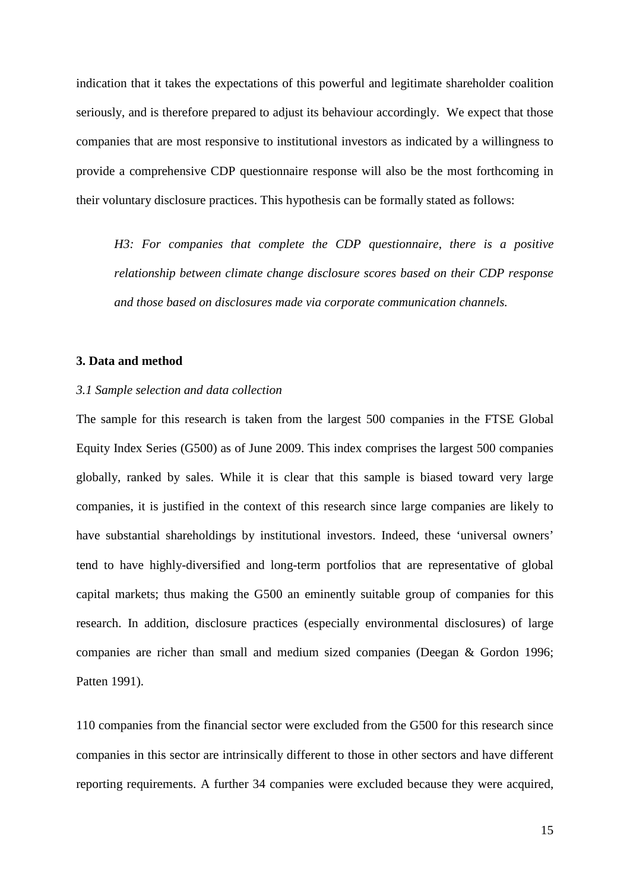indication that it takes the expectations of this powerful and legitimate shareholder coalition seriously, and is therefore prepared to adjust its behaviour accordingly. We expect that those companies that are most responsive to institutional investors as indicated by a willingness to provide a comprehensive CDP questionnaire response will also be the most forthcoming in their voluntary disclosure practices. This hypothesis can be formally stated as follows:

*H3: For companies that complete the CDP questionnaire, there is a positive relationship between climate change disclosure scores based on their CDP response and those based on disclosures made via corporate communication channels.*

#### **3. Data and method**

### *3.1 Sample selection and data collection*

The sample for this research is taken from the largest 500 companies in the FTSE Global Equity Index Series (G500) as of June 2009. This index comprises the largest 500 companies globally, ranked by sales. While it is clear that this sample is biased toward very large companies, it is justified in the context of this research since large companies are likely to have substantial shareholdings by institutional investors. Indeed, these 'universal owners' tend to have highly-diversified and long-term portfolios that are representative of global capital markets; thus making the G500 an eminently suitable group of companies for this research. In addition, disclosure practices (especially environmental disclosures) of large companies are richer than small and medium sized companies (Deegan & Gordon 1996; Patten 1991).

110 companies from the financial sector were excluded from the G500 for this research since companies in this sector are intrinsically different to those in other sectors and have different reporting requirements. A further 34 companies were excluded because they were acquired,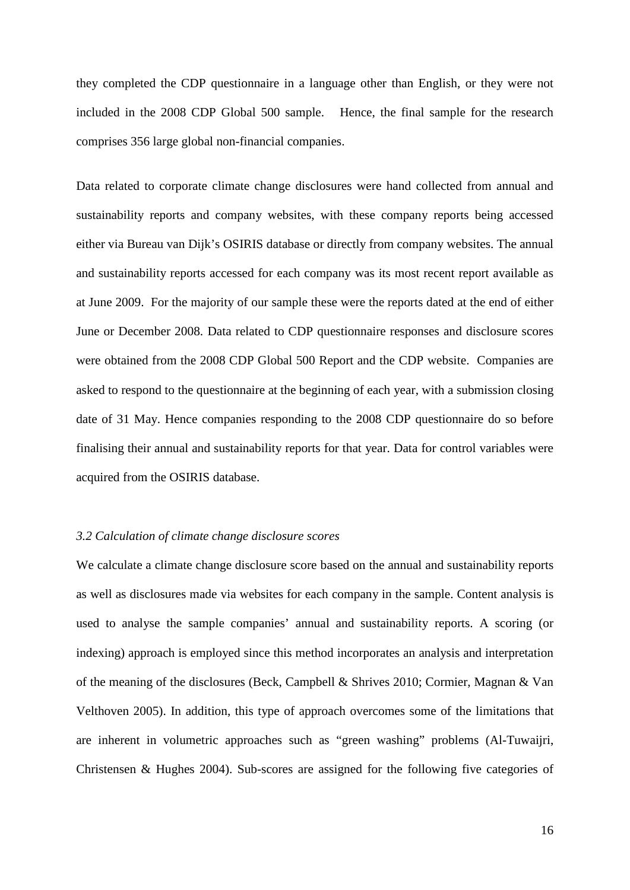they completed the CDP questionnaire in a language other than English, or they were not included in the 2008 CDP Global 500 sample. Hence, the final sample for the research comprises 356 large global non-financial companies.

Data related to corporate climate change disclosures were hand collected from annual and sustainability reports and company websites, with these company reports being accessed either via Bureau van Dijk's OSIRIS database or directly from company websites. The annual and sustainability reports accessed for each company was its most recent report available as at June 2009. For the majority of our sample these were the reports dated at the end of either June or December 2008. Data related to CDP questionnaire responses and disclosure scores were obtained from the 2008 CDP Global 500 Report and the CDP website. Companies are asked to respond to the questionnaire at the beginning of each year, with a submission closing date of 31 May. Hence companies responding to the 2008 CDP questionnaire do so before finalising their annual and sustainability reports for that year. Data for control variables were acquired from the OSIRIS database.

# *3.2 Calculation of climate change disclosure scores*

We calculate a climate change disclosure score based on the annual and sustainability reports as well as disclosures made via websites for each company in the sample. Content analysis is used to analyse the sample companies' annual and sustainability reports. A scoring (or indexing) approach is employed since this method incorporates an analysis and interpretation of the meaning of the disclosures (Beck, Campbell & Shrives 2010; Cormier, Magnan & Van Velthoven 2005). In addition, this type of approach overcomes some of the limitations that are inherent in volumetric approaches such as "green washing" problems (Al-Tuwaijri, Christensen & Hughes 2004). Sub-scores are assigned for the following five categories of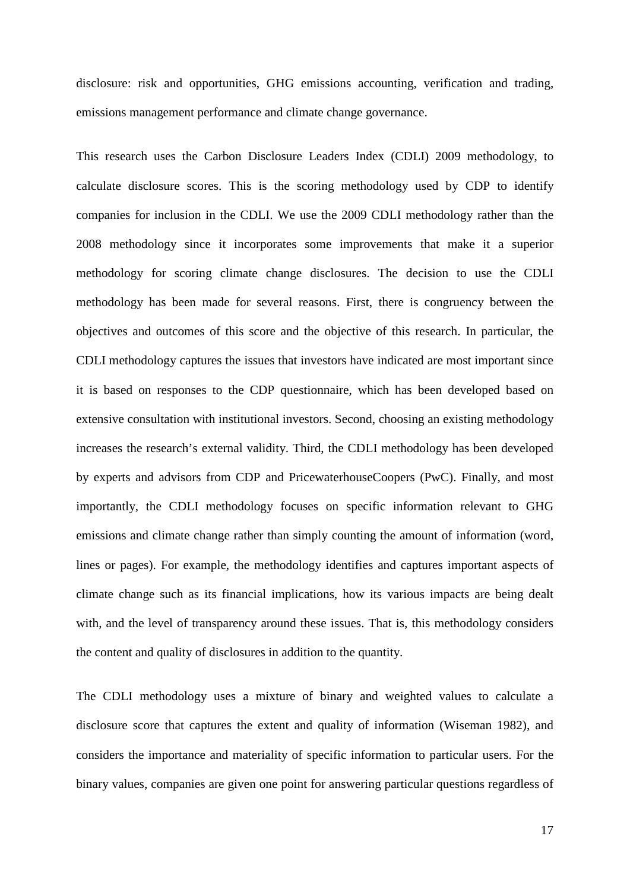disclosure: risk and opportunities, GHG emissions accounting, verification and trading, emissions management performance and climate change governance.

This research uses the Carbon Disclosure Leaders Index (CDLI) 2009 methodology, to calculate disclosure scores. This is the scoring methodology used by CDP to identify companies for inclusion in the CDLI. We use the 2009 CDLI methodology rather than the 2008 methodology since it incorporates some improvements that make it a superior methodology for scoring climate change disclosures. The decision to use the CDLI methodology has been made for several reasons. First, there is congruency between the objectives and outcomes of this score and the objective of this research. In particular, the CDLI methodology captures the issues that investors have indicated are most important since it is based on responses to the CDP questionnaire, which has been developed based on extensive consultation with institutional investors. Second, choosing an existing methodology increases the research's external validity. Third, the CDLI methodology has been developed by experts and advisors from CDP and PricewaterhouseCoopers (PwC). Finally, and most importantly, the CDLI methodology focuses on specific information relevant to GHG emissions and climate change rather than simply counting the amount of information (word, lines or pages). For example, the methodology identifies and captures important aspects of climate change such as its financial implications, how its various impacts are being dealt with, and the level of transparency around these issues. That is, this methodology considers the content and quality of disclosures in addition to the quantity.

The CDLI methodology uses a mixture of binary and weighted values to calculate a disclosure score that captures the extent and quality of information (Wiseman 1982), and considers the importance and materiality of specific information to particular users. For the binary values, companies are given one point for answering particular questions regardless of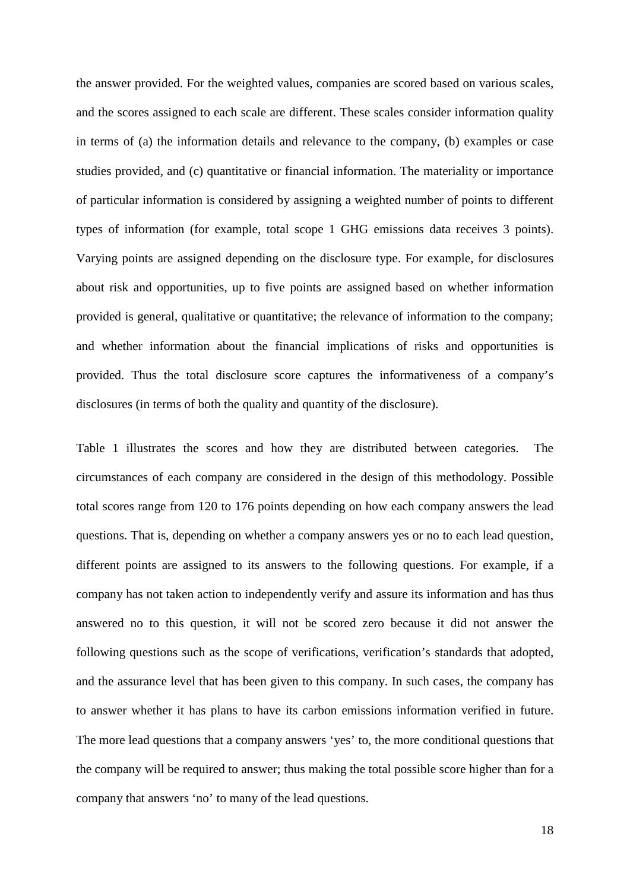the answer provided. For the weighted values, companies are scored based on various scales, and the scores assigned to each scale are different. These scales consider information quality in terms of (a) the information details and relevance to the company, (b) examples or case studies provided, and (c) quantitative or financial information. The materiality or importance of particular information is considered by assigning a weighted number of points to different types of information (for example, total scope 1 GHG emissions data receives 3 points). Varying points are assigned depending on the disclosure type. For example, for disclosures about risk and opportunities, up to five points are assigned based on whether information provided is general, qualitative or quantitative; the relevance of information to the company; and whether information about the financial implications of risks and opportunities is provided. Thus the total disclosure score captures the informativeness of a company's disclosures (in terms of both the quality and quantity of the disclosure).

Table 1 illustrates the scores and how they are distributed between categories. The circumstances of each company are considered in the design of this methodology. Possible total scores range from 120 to 176 points depending on how each company answers the lead questions. That is, depending on whether a company answers yes or no to each lead question, different points are assigned to its answers to the following questions. For example, if a company has not taken action to independently verify and assure its information and has thus answered no to this question, it will not be scored zero because it did not answer the following questions such as the scope of verifications, verification's standards that adopted, and the assurance level that has been given to this company. In such cases, the company has to answer whether it has plans to have its carbon emissions information verified in future. The more lead questions that a company answers 'yes' to, the more conditional questions that the company will be required to answer; thus making the total possible score higher than for a company that answers 'no' to many of the lead questions.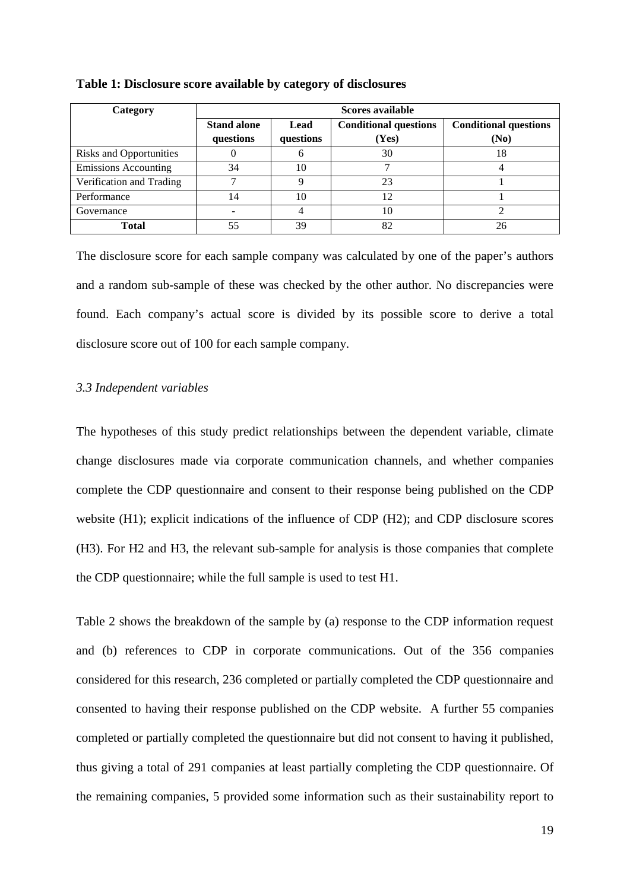| Category                       | Scores available   |           |                              |      |  |  |  |  |
|--------------------------------|--------------------|-----------|------------------------------|------|--|--|--|--|
|                                | <b>Stand alone</b> | Lead      | <b>Conditional questions</b> |      |  |  |  |  |
|                                | questions          | questions | (Yes)                        | (No) |  |  |  |  |
| <b>Risks and Opportunities</b> |                    |           | 30                           | 18   |  |  |  |  |
| <b>Emissions Accounting</b>    | 34                 | 10        |                              |      |  |  |  |  |
| Verification and Trading       |                    |           | 23                           |      |  |  |  |  |
| Performance                    | 14                 | 10        | 12                           |      |  |  |  |  |
| Governance                     |                    |           | 10                           |      |  |  |  |  |
| Total                          | 55                 | 39        | 82                           | 26   |  |  |  |  |

#### **Table 1: Disclosure score available by category of disclosures**

The disclosure score for each sample company was calculated by one of the paper's authors and a random sub-sample of these was checked by the other author. No discrepancies were found. Each company's actual score is divided by its possible score to derive a total disclosure score out of 100 for each sample company.

# *3.3 Independent variables*

The hypotheses of this study predict relationships between the dependent variable, climate change disclosures made via corporate communication channels, and whether companies complete the CDP questionnaire and consent to their response being published on the CDP website (H1); explicit indications of the influence of CDP (H2); and CDP disclosure scores (H3). For H2 and H3, the relevant sub-sample for analysis is those companies that complete the CDP questionnaire; while the full sample is used to test H1.

Table 2 shows the breakdown of the sample by (a) response to the CDP information request and (b) references to CDP in corporate communications. Out of the 356 companies considered for this research, 236 completed or partially completed the CDP questionnaire and consented to having their response published on the CDP website. A further 55 companies completed or partially completed the questionnaire but did not consent to having it published, thus giving a total of 291 companies at least partially completing the CDP questionnaire. Of the remaining companies, 5 provided some information such as their sustainability report to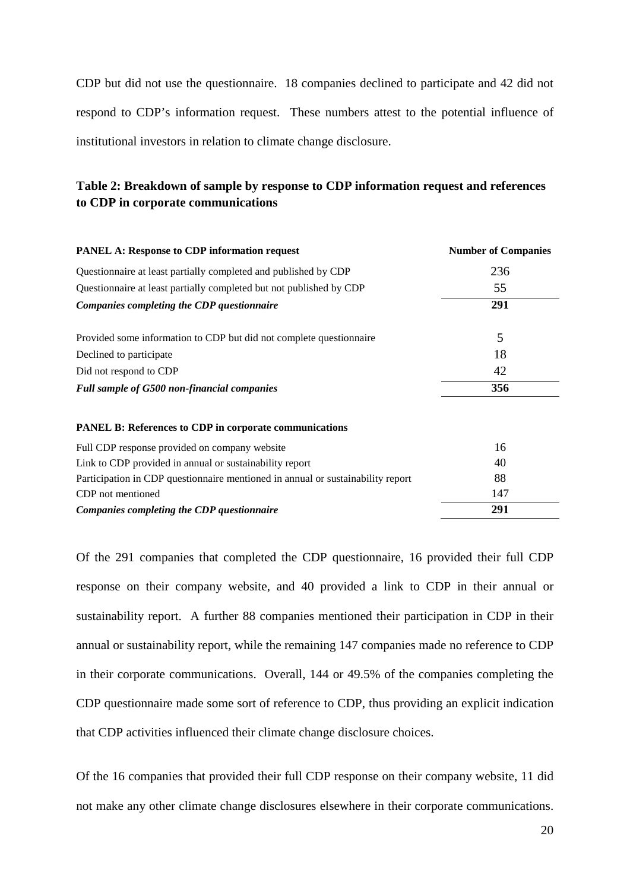CDP but did not use the questionnaire. 18 companies declined to participate and 42 did not respond to CDP's information request. These numbers attest to the potential influence of institutional investors in relation to climate change disclosure.

# **Table 2: Breakdown of sample by response to CDP information request and references to CDP in corporate communications**

| <b>PANEL A: Response to CDP information request</b>                             | <b>Number of Companies</b> |
|---------------------------------------------------------------------------------|----------------------------|
| Questionnaire at least partially completed and published by CDP                 | 236                        |
| Questionnaire at least partially completed but not published by CDP             | 55                         |
| Companies completing the CDP questionnaire                                      | 291                        |
| Provided some information to CDP but did not complete questionnaire             | 5                          |
| Declined to participate                                                         | 18                         |
| Did not respond to CDP                                                          | 42                         |
| Full sample of G500 non-financial companies                                     | 356                        |
| <b>PANEL B: References to CDP in corporate communications</b>                   |                            |
| Full CDP response provided on company website                                   | 16                         |
| Link to CDP provided in annual or sustainability report                         | 40                         |
| Participation in CDP questionnaire mentioned in annual or sustainability report | 88                         |
| CDP not mentioned                                                               | 147                        |
| Companies completing the CDP questionnaire                                      | 291                        |

Of the 291 companies that completed the CDP questionnaire, 16 provided their full CDP response on their company website, and 40 provided a link to CDP in their annual or sustainability report. A further 88 companies mentioned their participation in CDP in their annual or sustainability report, while the remaining 147 companies made no reference to CDP in their corporate communications. Overall, 144 or 49.5% of the companies completing the CDP questionnaire made some sort of reference to CDP, thus providing an explicit indication that CDP activities influenced their climate change disclosure choices.

Of the 16 companies that provided their full CDP response on their company website, 11 did not make any other climate change disclosures elsewhere in their corporate communications.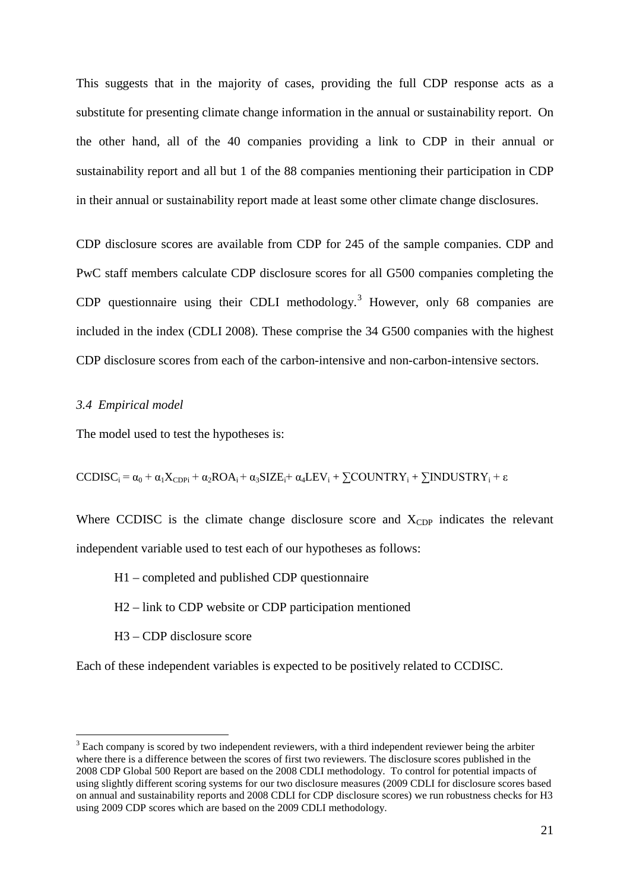This suggests that in the majority of cases, providing the full CDP response acts as a substitute for presenting climate change information in the annual or sustainability report. On the other hand, all of the 40 companies providing a link to CDP in their annual or sustainability report and all but 1 of the 88 companies mentioning their participation in CDP in their annual or sustainability report made at least some other climate change disclosures.

CDP disclosure scores are available from CDP for 245 of the sample companies. CDP and PwC staff members calculate CDP disclosure scores for all G500 companies completing the CDP questionnaire using their CDLI methodology.<sup>[3](#page-20-0)</sup> However, only 68 companies are included in the index (CDLI 2008). These comprise the 34 G500 companies with the highest CDP disclosure scores from each of the carbon-intensive and non-carbon-intensive sectors.

### *3.4 Empirical model*

The model used to test the hypotheses is:

CCDISC<sub>i</sub> =  $\alpha_0 + \alpha_1 X_{CDPi} + \alpha_2 ROA_i + \alpha_3 SIZE_i + \alpha_4 LEV_i + \sum COUNTRY_i + \sum INDUSTRY_i + \epsilon$ 

Where CCDISC is the climate change disclosure score and  $X_{CDP}$  indicates the relevant independent variable used to test each of our hypotheses as follows:

- H1 completed and published CDP questionnaire
- H2 link to CDP website or CDP participation mentioned
- H3 CDP disclosure score

Each of these independent variables is expected to be positively related to CCDISC.

<span id="page-20-0"></span> $3$  Each company is scored by two independent reviewers, with a third independent reviewer being the arbiter where there is a difference between the scores of first two reviewers. The disclosure scores published in the 2008 CDP Global 500 Report are based on the 2008 CDLI methodology. To control for potential impacts of using slightly different scoring systems for our two disclosure measures (2009 CDLI for disclosure scores based on annual and sustainability reports and 2008 CDLI for CDP disclosure scores) we run robustness checks for H3 using 2009 CDP scores which are based on the 2009 CDLI methodology.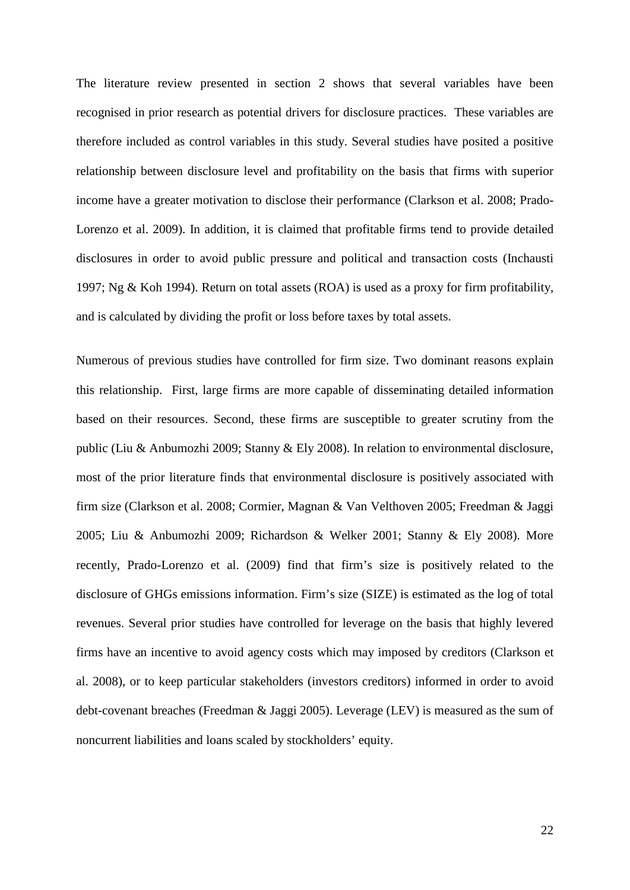The literature review presented in section 2 shows that several variables have been recognised in prior research as potential drivers for disclosure practices. These variables are therefore included as control variables in this study. Several studies have posited a positive relationship between disclosure level and profitability on the basis that firms with superior income have a greater motivation to disclose their performance (Clarkson et al. 2008; Prado-Lorenzo et al. 2009). In addition, it is claimed that profitable firms tend to provide detailed disclosures in order to avoid public pressure and political and transaction costs (Inchausti 1997; Ng & Koh 1994). Return on total assets (ROA) is used as a proxy for firm profitability, and is calculated by dividing the profit or loss before taxes by total assets.

Numerous of previous studies have controlled for firm size. Two dominant reasons explain this relationship. First, large firms are more capable of disseminating detailed information based on their resources. Second, these firms are susceptible to greater scrutiny from the public (Liu & Anbumozhi 2009; Stanny & Ely 2008). In relation to environmental disclosure, most of the prior literature finds that environmental disclosure is positively associated with firm size (Clarkson et al. 2008; Cormier, Magnan & Van Velthoven 2005; Freedman & Jaggi 2005; Liu & Anbumozhi 2009; Richardson & Welker 2001; Stanny & Ely 2008). More recently, Prado-Lorenzo et al. (2009) find that firm's size is positively related to the disclosure of GHGs emissions information. Firm's size (SIZE) is estimated as the log of total revenues. Several prior studies have controlled for leverage on the basis that highly levered firms have an incentive to avoid agency costs which may imposed by creditors (Clarkson et al. 2008), or to keep particular stakeholders (investors creditors) informed in order to avoid debt-covenant breaches (Freedman & Jaggi 2005). Leverage (LEV) is measured as the sum of noncurrent liabilities and loans scaled by stockholders' equity.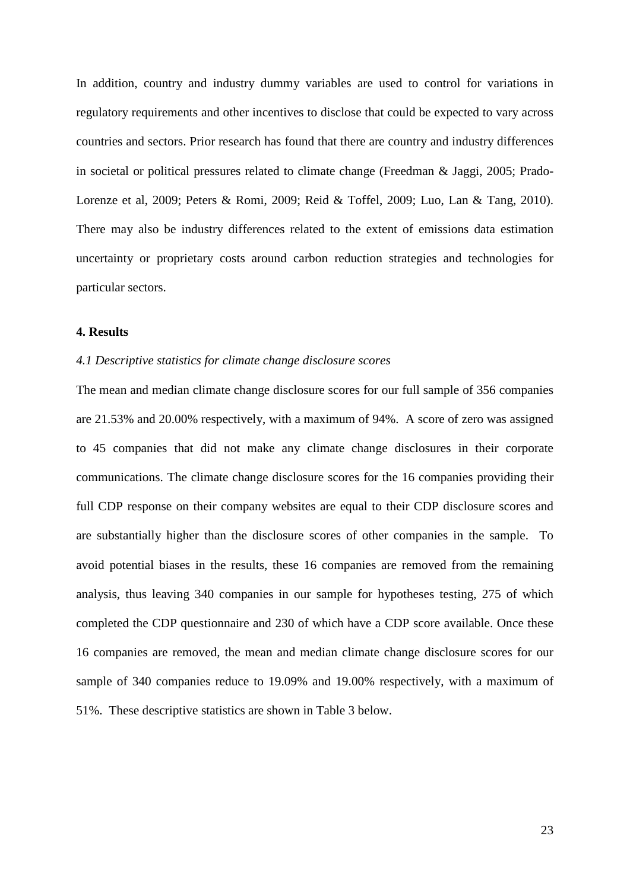In addition, country and industry dummy variables are used to control for variations in regulatory requirements and other incentives to disclose that could be expected to vary across countries and sectors. Prior research has found that there are country and industry differences in societal or political pressures related to climate change (Freedman & Jaggi, 2005; Prado-Lorenze et al, 2009; Peters & Romi, 2009; Reid & Toffel, 2009; Luo, Lan & Tang, 2010). There may also be industry differences related to the extent of emissions data estimation uncertainty or proprietary costs around carbon reduction strategies and technologies for particular sectors.

### **4. Results**

#### *4.1 Descriptive statistics for climate change disclosure scores*

The mean and median climate change disclosure scores for our full sample of 356 companies are 21.53% and 20.00% respectively, with a maximum of 94%. A score of zero was assigned to 45 companies that did not make any climate change disclosures in their corporate communications. The climate change disclosure scores for the 16 companies providing their full CDP response on their company websites are equal to their CDP disclosure scores and are substantially higher than the disclosure scores of other companies in the sample. To avoid potential biases in the results, these 16 companies are removed from the remaining analysis, thus leaving 340 companies in our sample for hypotheses testing, 275 of which completed the CDP questionnaire and 230 of which have a CDP score available. Once these 16 companies are removed, the mean and median climate change disclosure scores for our sample of 340 companies reduce to 19.09% and 19.00% respectively, with a maximum of 51%. These descriptive statistics are shown in Table 3 below.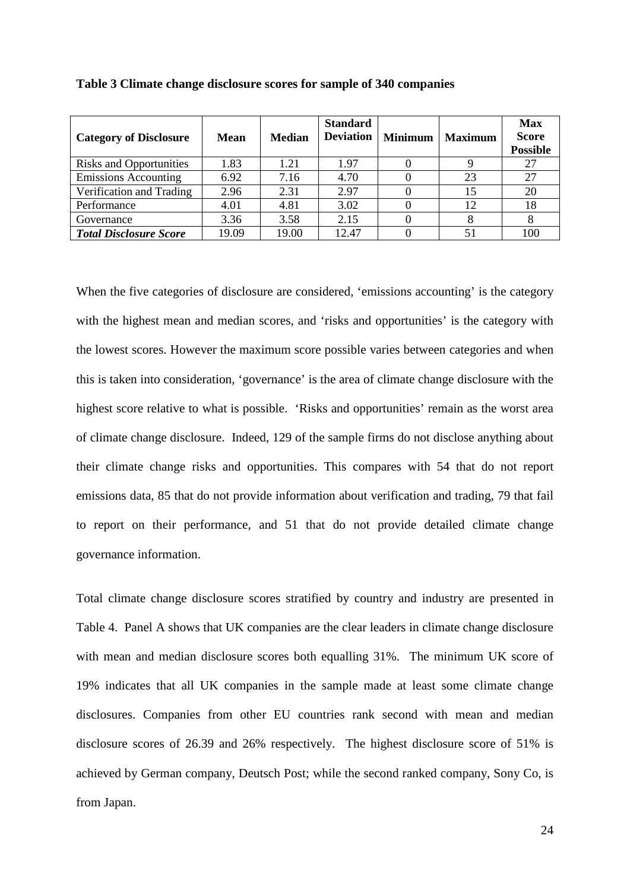| <b>Category of Disclosure</b>  | Mean  | <b>Median</b> | <b>Standard</b><br><b>Deviation</b> | <b>Minimum</b> | <b>Maximum</b> | <b>Max</b><br><b>Score</b><br><b>Possible</b> |
|--------------------------------|-------|---------------|-------------------------------------|----------------|----------------|-----------------------------------------------|
| <b>Risks and Opportunities</b> | 1.83  | 1.21          | 1.97                                |                |                | 27                                            |
| <b>Emissions Accounting</b>    | 6.92  | 7.16          | 4.70                                |                | 23             | 27                                            |
| Verification and Trading       | 2.96  | 2.31          | 2.97                                |                | 15             | 20                                            |
| Performance                    | 4.01  | 4.81          | 3.02                                |                | 12             | 18                                            |
| Governance                     | 3.36  | 3.58          | 2.15                                |                |                |                                               |
| <b>Total Disclosure Score</b>  | 19.09 | 19.00         | 12.47                               |                |                | 100                                           |

**Table 3 Climate change disclosure scores for sample of 340 companies**

When the five categories of disclosure are considered, 'emissions accounting' is the category with the highest mean and median scores, and 'risks and opportunities' is the category with the lowest scores. However the maximum score possible varies between categories and when this is taken into consideration, 'governance' is the area of climate change disclosure with the highest score relative to what is possible. 'Risks and opportunities' remain as the worst area of climate change disclosure. Indeed, 129 of the sample firms do not disclose anything about their climate change risks and opportunities. This compares with 54 that do not report emissions data, 85 that do not provide information about verification and trading, 79 that fail to report on their performance, and 51 that do not provide detailed climate change governance information.

Total climate change disclosure scores stratified by country and industry are presented in Table 4. Panel A shows that UK companies are the clear leaders in climate change disclosure with mean and median disclosure scores both equalling 31%. The minimum UK score of 19% indicates that all UK companies in the sample made at least some climate change disclosures. Companies from other EU countries rank second with mean and median disclosure scores of 26.39 and 26% respectively. The highest disclosure score of 51% is achieved by German company, Deutsch Post; while the second ranked company, Sony Co, is from Japan.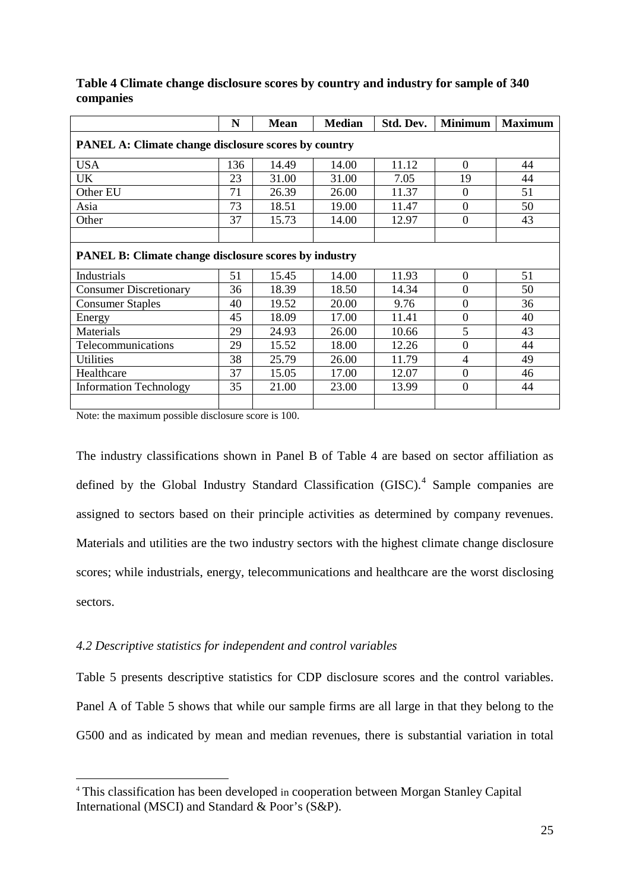|                                                              | N   | <b>Mean</b> | <b>Median</b> | Std. Dev. | <b>Minimum</b> | <b>Maximum</b> |  |  |
|--------------------------------------------------------------|-----|-------------|---------------|-----------|----------------|----------------|--|--|
| <b>PANEL A: Climate change disclosure scores by country</b>  |     |             |               |           |                |                |  |  |
| <b>USA</b>                                                   | 136 | 14.49       | 14.00         | 11.12     | $\overline{0}$ | 44             |  |  |
| UK                                                           | 23  | 31.00       | 31.00         | 7.05      | 19             | 44             |  |  |
| Other EU                                                     | 71  | 26.39       | 26.00         | 11.37     | $\mathbf{0}$   | 51             |  |  |
| Asia                                                         | 73  | 18.51       | 19.00         | 11.47     | $\overline{0}$ | 50             |  |  |
| Other                                                        | 37  | 15.73       | 14.00         | 12.97     | $\overline{0}$ | 43             |  |  |
|                                                              |     |             |               |           |                |                |  |  |
| <b>PANEL B: Climate change disclosure scores by industry</b> |     |             |               |           |                |                |  |  |
| Industrials                                                  | 51  | 15.45       | 14.00         | 11.93     | $\overline{0}$ | 51             |  |  |
| <b>Consumer Discretionary</b>                                | 36  | 18.39       | 18.50         | 14.34     | $\overline{0}$ | 50             |  |  |
| <b>Consumer Staples</b>                                      | 40  | 19.52       | 20.00         | 9.76      | $\overline{0}$ | 36             |  |  |
| Energy                                                       | 45  | 18.09       | 17.00         | 11.41     | $\overline{0}$ | 40             |  |  |
| Materials                                                    | 29  | 24.93       | 26.00         | 10.66     | 5              | 43             |  |  |
| Telecommunications                                           | 29  | 15.52       | 18.00         | 12.26     | $\overline{0}$ | 44             |  |  |
| <b>Utilities</b>                                             | 38  | 25.79       | 26.00         | 11.79     | 4              | 49             |  |  |
| Healthcare                                                   | 37  | 15.05       | 17.00         | 12.07     | $\overline{0}$ | 46             |  |  |
| <b>Information Technology</b>                                | 35  | 21.00       | 23.00         | 13.99     | $\overline{0}$ | 44             |  |  |
|                                                              |     |             |               |           |                |                |  |  |

**Table 4 Climate change disclosure scores by country and industry for sample of 340 companies**

Note: the maximum possible disclosure score is 100.

The industry classifications shown in Panel B of Table 4 are based on sector affiliation as defined by the Global Industry Standard Classification (GISC).<sup>[4](#page-24-0)</sup> Sample companies are assigned to sectors based on their principle activities as determined by company revenues. Materials and utilities are the two industry sectors with the highest climate change disclosure scores; while industrials, energy, telecommunications and healthcare are the worst disclosing sectors.

# *4.2 Descriptive statistics for independent and control variables*

Table 5 presents descriptive statistics for CDP disclosure scores and the control variables. Panel A of Table 5 shows that while our sample firms are all large in that they belong to the G500 and as indicated by mean and median revenues, there is substantial variation in total

<span id="page-24-0"></span> <sup>4</sup> This classification has been developed in cooperation between Morgan Stanley Capital International (MSCI) and Standard & Poor's (S&P).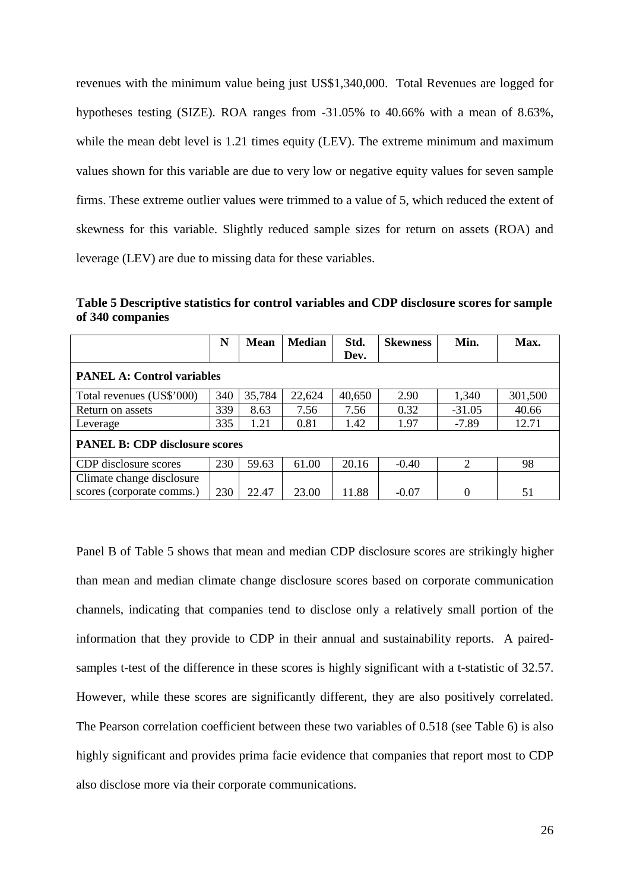revenues with the minimum value being just US\$1,340,000. Total Revenues are logged for hypotheses testing (SIZE). ROA ranges from -31.05% to 40.66% with a mean of 8.63%, while the mean debt level is 1.21 times equity (LEV). The extreme minimum and maximum values shown for this variable are due to very low or negative equity values for seven sample firms. These extreme outlier values were trimmed to a value of 5, which reduced the extent of skewness for this variable. Slightly reduced sample sizes for return on assets (ROA) and leverage (LEV) are due to missing data for these variables.

**Table 5 Descriptive statistics for control variables and CDP disclosure scores for sample of 340 companies**

|                                       | N   | <b>Mean</b> | <b>Median</b> | Std.   | <b>Skewness</b> | Min.     | Max.    |
|---------------------------------------|-----|-------------|---------------|--------|-----------------|----------|---------|
|                                       |     |             |               | Dev.   |                 |          |         |
| <b>PANEL A: Control variables</b>     |     |             |               |        |                 |          |         |
| Total revenues (US\$'000)             | 340 | 35,784      | 22,624        | 40,650 | 2.90            | 1,340    | 301,500 |
| Return on assets                      | 339 | 8.63        | 7.56          | 7.56   | 0.32            | $-31.05$ | 40.66   |
| Leverage                              | 335 | 1.21        | 0.81          | 1.42   | 1.97            | $-7.89$  | 12.71   |
| <b>PANEL B: CDP disclosure scores</b> |     |             |               |        |                 |          |         |
| CDP disclosure scores                 | 230 | 59.63       | 61.00         | 20.16  | $-0.40$         | 2        | 98      |
| Climate change disclosure             |     |             |               |        |                 |          |         |
| scores (corporate comms.)             | 230 | 22.47       | 23.00         | 11.88  | $-0.07$         | $\Omega$ | 51      |

Panel B of Table 5 shows that mean and median CDP disclosure scores are strikingly higher than mean and median climate change disclosure scores based on corporate communication channels, indicating that companies tend to disclose only a relatively small portion of the information that they provide to CDP in their annual and sustainability reports. A pairedsamples t-test of the difference in these scores is highly significant with a t-statistic of 32.57. However, while these scores are significantly different, they are also positively correlated. The Pearson correlation coefficient between these two variables of 0.518 (see Table 6) is also highly significant and provides prima facie evidence that companies that report most to CDP also disclose more via their corporate communications.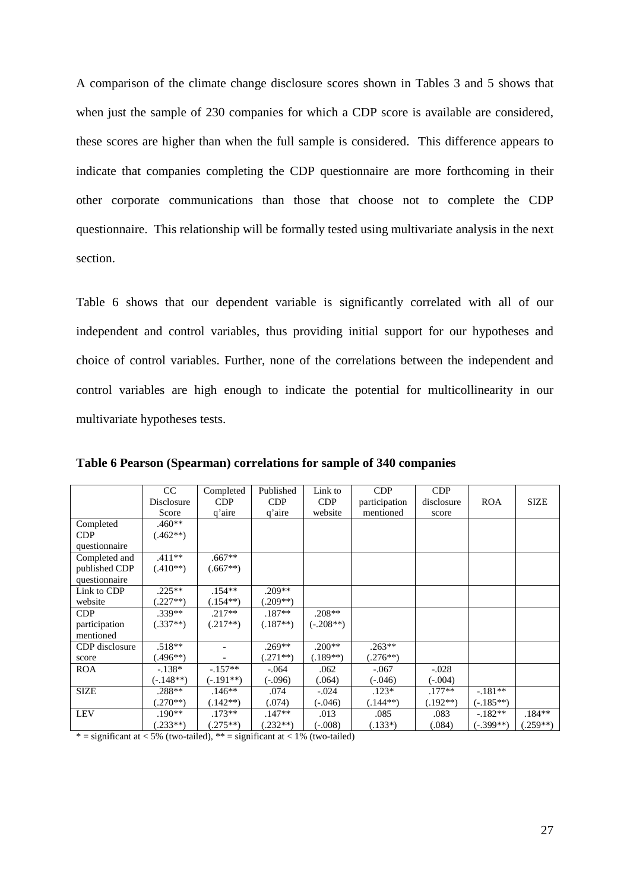A comparison of the climate change disclosure scores shown in Tables 3 and 5 shows that when just the sample of 230 companies for which a CDP score is available are considered, these scores are higher than when the full sample is considered. This difference appears to indicate that companies completing the CDP questionnaire are more forthcoming in their other corporate communications than those that choose not to complete the CDP questionnaire. This relationship will be formally tested using multivariate analysis in the next section.

Table 6 shows that our dependent variable is significantly correlated with all of our independent and control variables, thus providing initial support for our hypotheses and choice of control variables. Further, none of the correlations between the independent and control variables are high enough to indicate the potential for multicollinearity in our multivariate hypotheses tests.

|                  | CC<br>Disclosure<br>Score | Completed<br>CDP<br>q'aire | Published<br>CDP<br>q'aire | Link to<br><b>CDP</b><br>website | CDP<br>participation<br>mentioned | CDP<br>disclosure<br>score | <b>ROA</b>  | <b>SIZE</b> |
|------------------|---------------------------|----------------------------|----------------------------|----------------------------------|-----------------------------------|----------------------------|-------------|-------------|
| Completed<br>CDP | $.460**$<br>$(.462**)$    |                            |                            |                                  |                                   |                            |             |             |
| questionnaire    |                           |                            |                            |                                  |                                   |                            |             |             |
| Completed and    | $.411**$                  | $.667**$                   |                            |                                  |                                   |                            |             |             |
| published CDP    | $(.410**)$                | $(.667**)$                 |                            |                                  |                                   |                            |             |             |
| questionnaire    |                           |                            |                            |                                  |                                   |                            |             |             |
| Link to CDP      | $.225**$                  | $.154**$                   | .209**                     |                                  |                                   |                            |             |             |
| website          | $(.227**)$                | $(.154**)$                 | $(.209**)$                 |                                  |                                   |                            |             |             |
| CDP              | $.339**$                  | $.217**$                   | $.187**$                   | $.208**$                         |                                   |                            |             |             |
| participation    | $(.337**)$                | $(.217**)$                 | $(.187**)$                 | $(-.208**)$                      |                                   |                            |             |             |
| mentioned        |                           |                            |                            |                                  |                                   |                            |             |             |
| CDP disclosure   | $.518**$                  |                            | .269**                     | $.200**$                         | $.263**$                          |                            |             |             |
| score            | $(.496**)$                |                            | $(271**)$                  | $(.189**)$                       | $(.276**)$                        |                            |             |             |
| <b>ROA</b>       | $-.138*$                  | $-.157**$                  | $-.064$                    | .062                             | $-.067$                           | $-.028$                    |             |             |
|                  | $(-.148**)$               | $(-.191**)$                | $(-.096)$                  | (.064)                           | $(-.046)$                         | $(-.004)$                  |             |             |
| <b>SIZE</b>      | $.288**$                  | $.146**$                   | .074                       | $-.024$                          | $.123*$                           | $.177**$                   | $-.181**$   |             |
|                  | $(.270**)$                | $(.142**)$                 | (.074)                     | $(-.046)$                        | $(.144**)$                        | $(.192**)$                 | $(-.185**)$ |             |
| <b>LEV</b>       | $.190**$                  | $.173**$                   | $.147**$                   | .013                             | .085                              | .083                       | $-182**$    | $.184**$    |
|                  | $(.233**)$                | $(.275**)$                 | $.232**$                   | $(-.008)$                        | $(.133*)$                         | (.084)                     | $(-.399**)$ | $(.259**)$  |

**Table 6 Pearson (Spearman) correlations for sample of 340 companies**

\* = significant at  $\lt 5\%$  (two-tailed), \*\* = significant at  $\lt 1\%$  (two-tailed)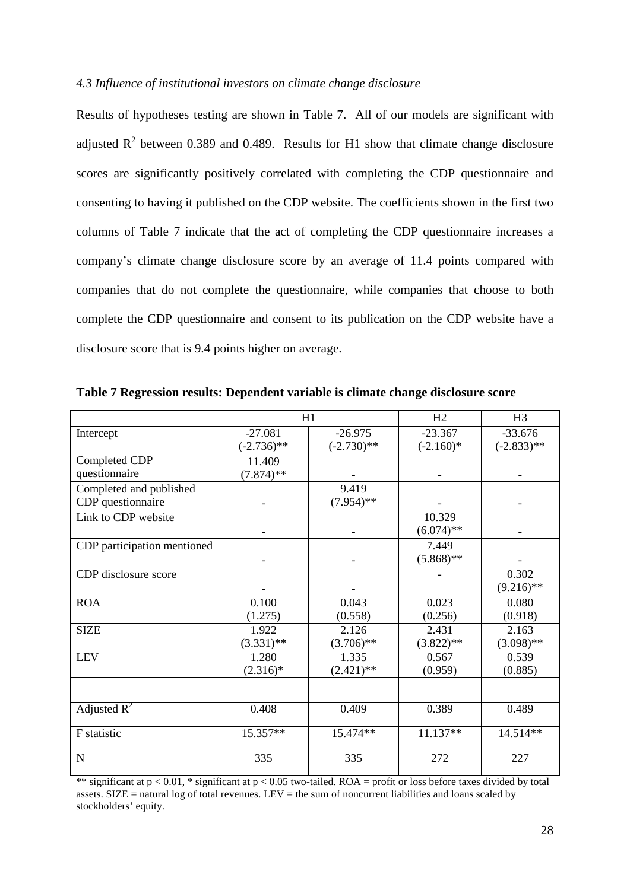### *4.3 Influence of institutional investors on climate change disclosure*

Results of hypotheses testing are shown in Table 7. All of our models are significant with adjusted  $\mathbb{R}^2$  between 0.389 and 0.489. Results for H1 show that climate change disclosure scores are significantly positively correlated with completing the CDP questionnaire and consenting to having it published on the CDP website. The coefficients shown in the first two columns of Table 7 indicate that the act of completing the CDP questionnaire increases a company's climate change disclosure score by an average of 11.4 points compared with companies that do not complete the questionnaire, while companies that choose to both complete the CDP questionnaire and consent to its publication on the CDP website have a disclosure score that is 9.4 points higher on average.

|                             |               | H1            | H2           | H <sub>3</sub> |
|-----------------------------|---------------|---------------|--------------|----------------|
| Intercept                   | $-27.081$     | $-26.975$     | $-23.367$    | $-33.676$      |
|                             | $(-2.736)$ ** | $(-2.730)$ ** | $(-2.160)$ * | $(-2.833)$ **  |
| Completed CDP               | 11.409        |               |              |                |
| questionnaire               | $(7.874)$ **  |               |              |                |
| Completed and published     |               | 9.419         |              |                |
| CDP questionnaire           |               | $(7.954)$ **  |              |                |
| Link to CDP website         |               |               | 10.329       |                |
|                             |               |               | $(6.074)$ ** |                |
| CDP participation mentioned |               |               | 7.449        |                |
|                             |               |               | $(5.868)$ ** |                |
| CDP disclosure score        |               |               |              | 0.302          |
|                             |               |               |              | $(9.216)$ **   |
| <b>ROA</b>                  | 0.100         | 0.043         | 0.023        | 0.080          |
|                             | (1.275)       | (0.558)       | (0.256)      | (0.918)        |
| <b>SIZE</b>                 | 1.922         | 2.126         | 2.431        | 2.163          |
|                             | $(3.331)$ **  | $(3.706)$ **  | $(3.822)$ ** | $(3.098)$ **   |
| <b>LEV</b>                  | 1.280         | 1.335         | 0.567        | 0.539          |
|                             | $(2.316)^*$   | $(2.421)$ **  | (0.959)      | (0.885)        |
|                             |               |               |              |                |
| Adjusted $R^2$              | 0.408         | 0.409         | 0.389        | 0.489          |
| F statistic                 | 15.357**      | 15.474**      | 11.137**     | 14.514**       |
| N                           | 335           | 335           | 272          | 227            |

**Table 7 Regression results: Dependent variable is climate change disclosure score** 

\*\* significant at  $p < 0.01$ , \* significant at  $p < 0.05$  two-tailed. ROA = profit or loss before taxes divided by total assets.  $SIZE =$  natural log of total revenues. LEV = the sum of noncurrent liabilities and loans scaled by stockholders' equity.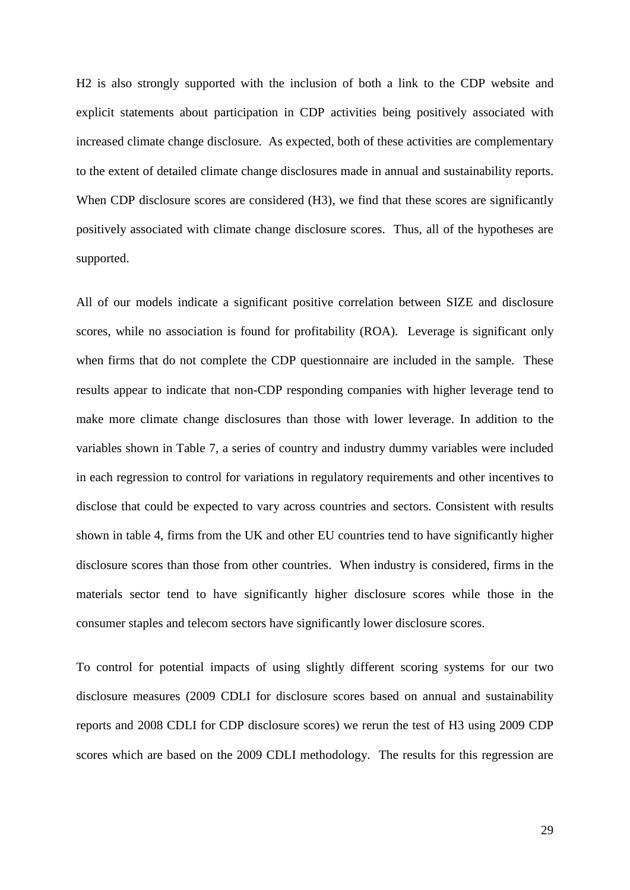H2 is also strongly supported with the inclusion of both a link to the CDP website and explicit statements about participation in CDP activities being positively associated with increased climate change disclosure. As expected, both of these activities are complementary to the extent of detailed climate change disclosures made in annual and sustainability reports. When CDP disclosure scores are considered (H3), we find that these scores are significantly positively associated with climate change disclosure scores. Thus, all of the hypotheses are supported.

All of our models indicate a significant positive correlation between SIZE and disclosure scores, while no association is found for profitability (ROA). Leverage is significant only when firms that do not complete the CDP questionnaire are included in the sample. These results appear to indicate that non-CDP responding companies with higher leverage tend to make more climate change disclosures than those with lower leverage. In addition to the variables shown in Table 7, a series of country and industry dummy variables were included in each regression to control for variations in regulatory requirements and other incentives to disclose that could be expected to vary across countries and sectors. Consistent with results shown in table 4, firms from the UK and other EU countries tend to have significantly higher disclosure scores than those from other countries. When industry is considered, firms in the materials sector tend to have significantly higher disclosure scores while those in the consumer staples and telecom sectors have significantly lower disclosure scores.

To control for potential impacts of using slightly different scoring systems for our two disclosure measures (2009 CDLI for disclosure scores based on annual and sustainability reports and 2008 CDLI for CDP disclosure scores) we rerun the test of H3 using 2009 CDP scores which are based on the 2009 CDLI methodology. The results for this regression are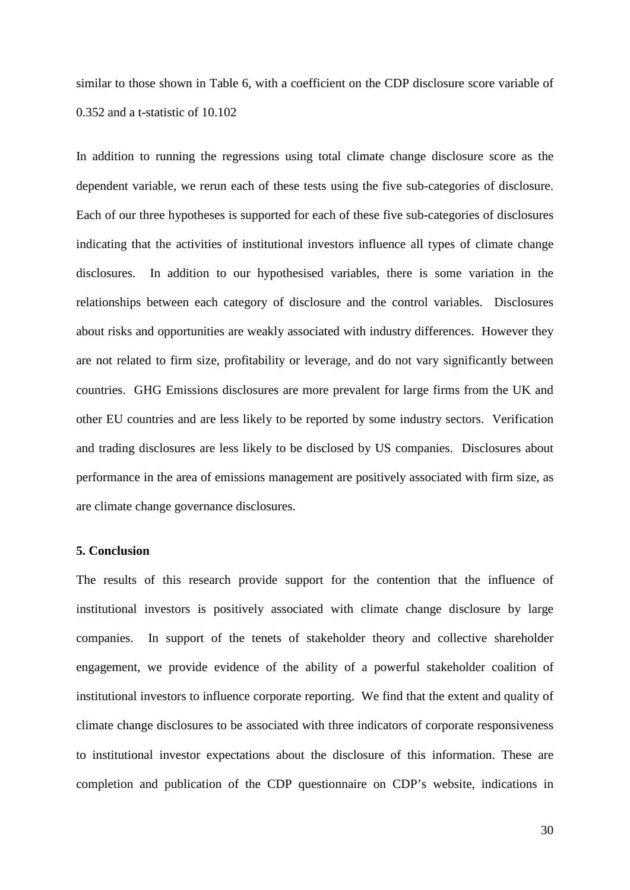similar to those shown in Table 6, with a coefficient on the CDP disclosure score variable of 0.352 and a t-statistic of 10.102

In addition to running the regressions using total climate change disclosure score as the dependent variable, we rerun each of these tests using the five sub-categories of disclosure. Each of our three hypotheses is supported for each of these five sub-categories of disclosures indicating that the activities of institutional investors influence all types of climate change disclosures. In addition to our hypothesised variables, there is some variation in the relationships between each category of disclosure and the control variables. Disclosures about risks and opportunities are weakly associated with industry differences. However they are not related to firm size, profitability or leverage, and do not vary significantly between countries. GHG Emissions disclosures are more prevalent for large firms from the UK and other EU countries and are less likely to be reported by some industry sectors. Verification and trading disclosures are less likely to be disclosed by US companies. Disclosures about performance in the area of emissions management are positively associated with firm size, as are climate change governance disclosures.

## **5. Conclusion**

The results of this research provide support for the contention that the influence of institutional investors is positively associated with climate change disclosure by large companies. In support of the tenets of stakeholder theory and collective shareholder engagement, we provide evidence of the ability of a powerful stakeholder coalition of institutional investors to influence corporate reporting. We find that the extent and quality of climate change disclosures to be associated with three indicators of corporate responsiveness to institutional investor expectations about the disclosure of this information. These are completion and publication of the CDP questionnaire on CDP's website, indications in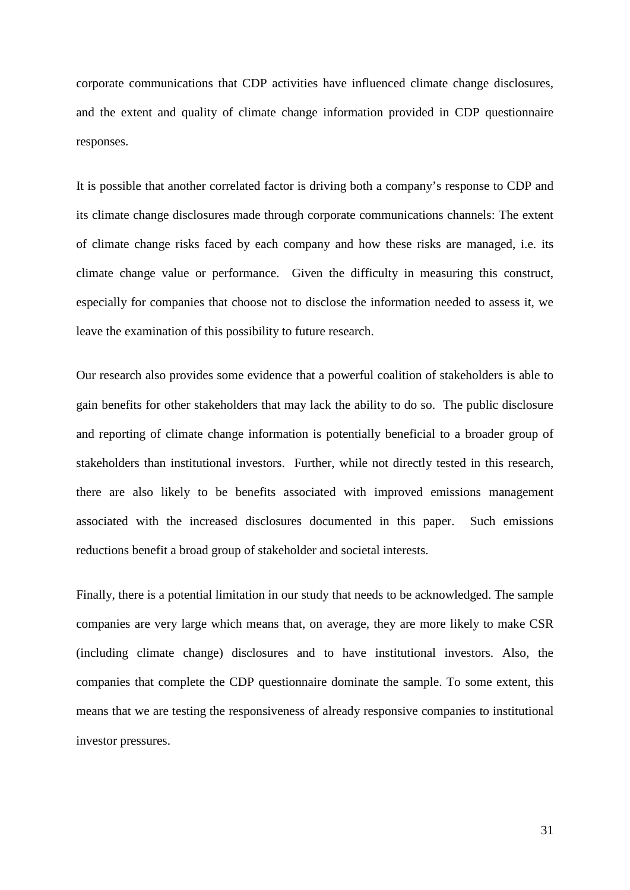corporate communications that CDP activities have influenced climate change disclosures, and the extent and quality of climate change information provided in CDP questionnaire responses.

It is possible that another correlated factor is driving both a company's response to CDP and its climate change disclosures made through corporate communications channels: The extent of climate change risks faced by each company and how these risks are managed, i.e. its climate change value or performance. Given the difficulty in measuring this construct, especially for companies that choose not to disclose the information needed to assess it, we leave the examination of this possibility to future research.

Our research also provides some evidence that a powerful coalition of stakeholders is able to gain benefits for other stakeholders that may lack the ability to do so. The public disclosure and reporting of climate change information is potentially beneficial to a broader group of stakeholders than institutional investors. Further, while not directly tested in this research, there are also likely to be benefits associated with improved emissions management associated with the increased disclosures documented in this paper. Such emissions reductions benefit a broad group of stakeholder and societal interests.

Finally, there is a potential limitation in our study that needs to be acknowledged. The sample companies are very large which means that, on average, they are more likely to make CSR (including climate change) disclosures and to have institutional investors. Also, the companies that complete the CDP questionnaire dominate the sample. To some extent, this means that we are testing the responsiveness of already responsive companies to institutional investor pressures.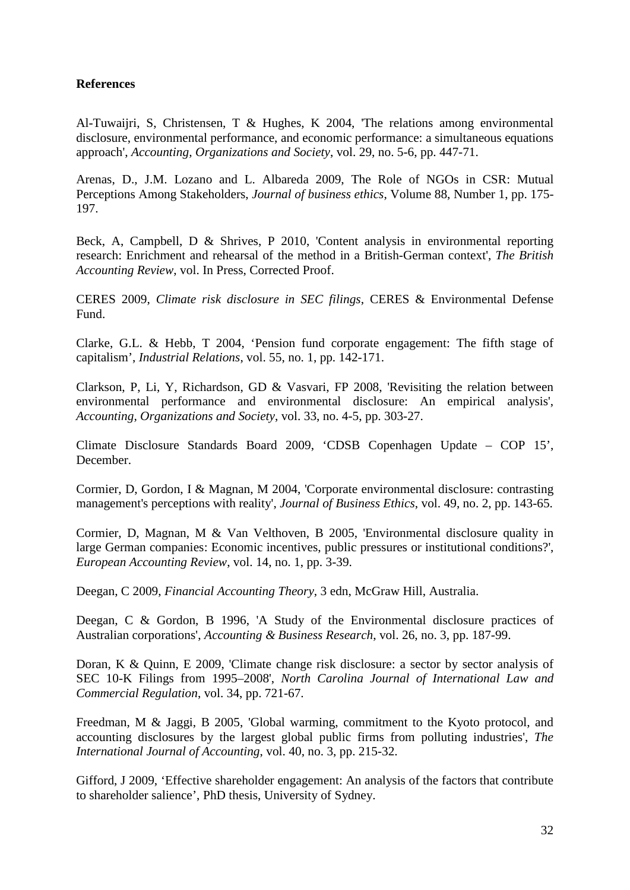# **References**

Al-Tuwaijri, S, Christensen, T & Hughes, K 2004, 'The relations among environmental disclosure, environmental performance, and economic performance: a simultaneous equations approach', *Accounting, Organizations and Society*, vol. 29, no. 5-6, pp. 447-71.

[Arenas,](http://www.springerlink.com/content/?Author=Daniel+Arenas) D., [J.M. Lozano](http://www.springerlink.com/content/?Author=Josep+M.+Lozano) and L. [Albareda](http://www.springerlink.com/content/?Author=Laura+Albareda) 2009, The Role of NGOs in CSR: Mutual Perceptions Among Stakeholders, *Journal of business ethics*, [Volume 88, Number 1,](http://www.springerlink.com/content/0167-4544/88/1/) pp. 175- 197.

Beck, A, Campbell, D & Shrives, P 2010, 'Content analysis in environmental reporting research: Enrichment and rehearsal of the method in a British-German context', *The British Accounting Review*, vol. In Press, Corrected Proof.

CERES 2009, *Climate risk disclosure in SEC filings*, CERES & Environmental Defense Fund.

Clarke, G.L. & Hebb, T 2004, 'Pension fund corporate engagement: The fifth stage of capitalism', *Industrial Relations*, vol. 55, no. 1, pp. 142-171.

Clarkson, P, Li, Y, Richardson, GD & Vasvari, FP 2008, 'Revisiting the relation between environmental performance and environmental disclosure: An empirical analysis', *Accounting, Organizations and Society*, vol. 33, no. 4-5, pp. 303-27.

Climate Disclosure Standards Board 2009, 'CDSB Copenhagen Update – COP 15', December.

Cormier, D, Gordon, I & Magnan, M 2004, 'Corporate environmental disclosure: contrasting management's perceptions with reality', *Journal of Business Ethics*, vol. 49, no. 2, pp. 143-65.

Cormier, D, Magnan, M & Van Velthoven, B 2005, 'Environmental disclosure quality in large German companies: Economic incentives, public pressures or institutional conditions?', *European Accounting Review*, vol. 14, no. 1, pp. 3-39.

Deegan, C 2009, *Financial Accounting Theory*, 3 edn, McGraw Hill, Australia.

Deegan, C & Gordon, B 1996, 'A Study of the Environmental disclosure practices of Australian corporations', *Accounting & Business Research*, vol. 26, no. 3, pp. 187-99.

Doran, K & Quinn, E 2009, 'Climate change risk disclosure: a sector by sector analysis of SEC 10-K Filings from 1995–2008', *North Carolina Journal of International Law and Commercial Regulation*, vol. 34, pp. 721-67.

Freedman, M & Jaggi, B 2005, 'Global warming, commitment to the Kyoto protocol, and accounting disclosures by the largest global public firms from polluting industries', *The International Journal of Accounting*, vol. 40, no. 3, pp. 215-32.

Gifford, J 2009, 'Effective shareholder engagement: An analysis of the factors that contribute to shareholder salience', PhD thesis, University of Sydney.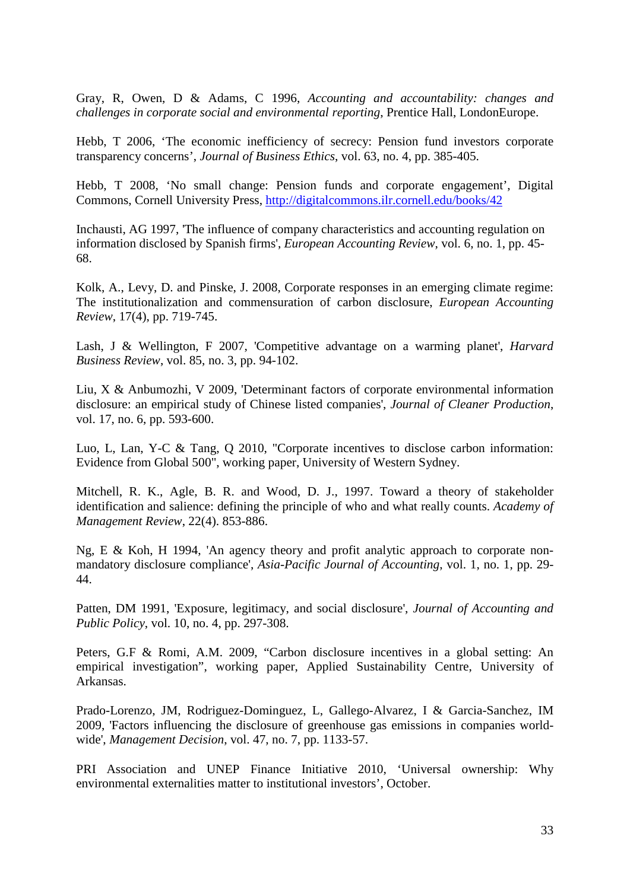Gray, R, Owen, D & Adams, C 1996, *Accounting and accountability: changes and challenges in corporate social and environmental reporting*, Prentice Hall, LondonEurope.

Hebb, T 2006, 'The economic inefficiency of secrecy: Pension fund investors corporate transparency concerns', *Journal of Business Ethics*, vol. 63, no. 4, pp. 385-405.

Hebb, T 2008, 'No small change: Pension funds and corporate engagement', Digital Commons, Cornell University Press,<http://digitalcommons.ilr.cornell.edu/books/42>

Inchausti, AG 1997, 'The influence of company characteristics and accounting regulation on information disclosed by Spanish firms', *European Accounting Review*, vol. 6, no. 1, pp. 45- 68.

Kolk, A., Levy, D. and Pinske, J. 2008, Corporate responses in an emerging climate regime: The institutionalization and commensuration of carbon disclosure, *European Accounting Review*, 17(4), pp. 719-745.

Lash, J & Wellington, F 2007, 'Competitive advantage on a warming planet', *Harvard Business Review*, vol. 85, no. 3, pp. 94-102.

Liu, X & Anbumozhi, V 2009, 'Determinant factors of corporate environmental information disclosure: an empirical study of Chinese listed companies', *Journal of Cleaner Production*, vol. 17, no. 6, pp. 593-600.

Luo, L, Lan, Y-C & Tang, Q 2010, "Corporate incentives to disclose carbon information: Evidence from Global 500", working paper, University of Western Sydney.

Mitchell, R. K., Agle, B. R. and Wood, D. J., 1997. Toward a theory of stakeholder identification and salience: defining the principle of who and what really counts. *Academy of Management Review*, 22(4). 853-886.

Ng, E & Koh, H 1994, 'An agency theory and profit analytic approach to corporate nonmandatory disclosure compliance', *Asia-Pacific Journal of Accounting*, vol. 1, no. 1, pp. 29- 44.

Patten, DM 1991, 'Exposure, legitimacy, and social disclosure', *Journal of Accounting and Public Policy*, vol. 10, no. 4, pp. 297-308.

Peters, G.F & Romi, A.M. 2009, "Carbon disclosure incentives in a global setting: An empirical investigation", working paper, Applied Sustainability Centre, University of Arkansas.

Prado-Lorenzo, JM, Rodriguez-Dominguez, L, Gallego-Alvarez, I & Garcia-Sanchez, IM 2009, 'Factors influencing the disclosure of greenhouse gas emissions in companies worldwide', *Management Decision*, vol. 47, no. 7, pp. 1133-57.

PRI Association and UNEP Finance Initiative 2010, 'Universal ownership: Why environmental externalities matter to institutional investors', October.